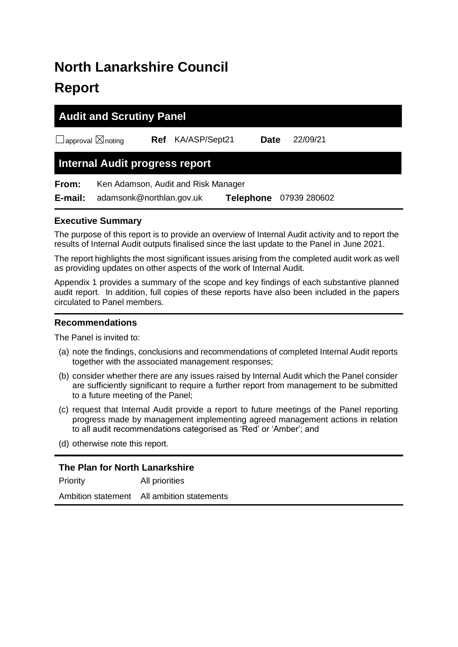# **North Lanarkshire Council Report**

|                                    | <b>Audit and Scrutiny Panel</b>     |            |                       |           |  |              |  |  |
|------------------------------------|-------------------------------------|------------|-----------------------|-----------|--|--------------|--|--|
| $\Box$ approval $\boxtimes$ noting |                                     | <b>Ref</b> | KA/ASP/Sept21<br>Date |           |  | 22/09/21     |  |  |
|                                    | Internal Audit progress report      |            |                       |           |  |              |  |  |
| From:                              | Ken Adamson, Audit and Risk Manager |            |                       |           |  |              |  |  |
| E-mail:                            | adamsonk@northlan.gov.uk            |            |                       | Telephone |  | 07939 280602 |  |  |

# **Executive Summary**

The purpose of this report is to provide an overview of Internal Audit activity and to report the results of Internal Audit outputs finalised since the last update to the Panel in June 2021.

The report highlights the most significant issues arising from the completed audit work as well as providing updates on other aspects of the work of Internal Audit.

Appendix 1 provides a summary of the scope and key findings of each substantive planned audit report. In addition, full copies of these reports have also been included in the papers circulated to Panel members.

# **Recommendations**

The Panel is invited to:

- (a) note the findings, conclusions and recommendations of completed Internal Audit reports together with the associated management responses;
- (b) consider whether there are any issues raised by Internal Audit which the Panel consider are sufficiently significant to require a further report from management to be submitted to a future meeting of the Panel;
- (c) request that Internal Audit provide a report to future meetings of the Panel reporting progress made by management implementing agreed management actions in relation to all audit recommendations categorised as 'Red' or 'Amber'; and
- (d) otherwise note this report.

# **The Plan for North Lanarkshire**

Priority All priorities Ambition statement All ambition statements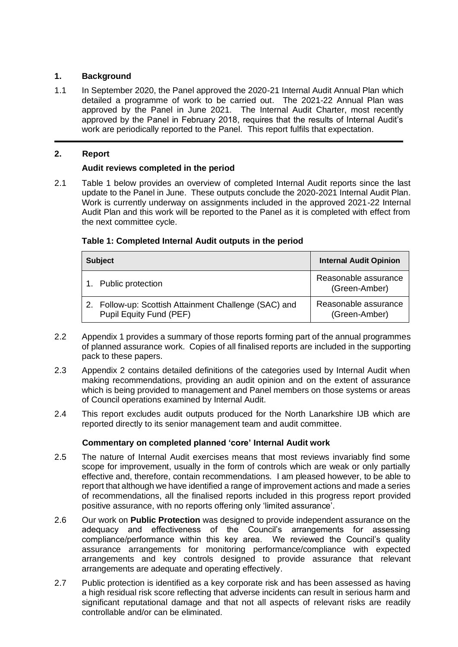# **1. Background**

1.1 In September 2020, the Panel approved the 2020-21 Internal Audit Annual Plan which detailed a programme of work to be carried out. The 2021-22 Annual Plan was approved by the Panel in June 2021. The Internal Audit Charter, most recently approved by the Panel in February 2018, requires that the results of Internal Audit's work are periodically reported to the Panel. This report fulfils that expectation.

# **2. Report**

## **Audit reviews completed in the period**

2.1 Table 1 below provides an overview of completed Internal Audit reports since the last update to the Panel in June. These outputs conclude the 2020-2021 Internal Audit Plan. Work is currently underway on assignments included in the approved 2021-22 Internal Audit Plan and this work will be reported to the Panel as it is completed with effect from the next committee cycle.

| <b>Subject</b>                                                                | <b>Internal Audit Opinion</b>         |
|-------------------------------------------------------------------------------|---------------------------------------|
| 1. Public protection                                                          | Reasonable assurance<br>(Green-Amber) |
| Follow-up: Scottish Attainment Challenge (SAC) and<br>Pupil Equity Fund (PEF) | Reasonable assurance<br>(Green-Amber) |

#### **Table 1: Completed Internal Audit outputs in the period**

- 2.2 Appendix 1 provides a summary of those reports forming part of the annual programmes of planned assurance work. Copies of all finalised reports are included in the supporting pack to these papers.
- 2.3 Appendix 2 contains detailed definitions of the categories used by Internal Audit when making recommendations, providing an audit opinion and on the extent of assurance which is being provided to management and Panel members on those systems or areas of Council operations examined by Internal Audit.
- 2.4 This report excludes audit outputs produced for the North Lanarkshire IJB which are reported directly to its senior management team and audit committee.

## **Commentary on completed planned 'core' Internal Audit work**

- 2.5 The nature of Internal Audit exercises means that most reviews invariably find some scope for improvement, usually in the form of controls which are weak or only partially effective and, therefore, contain recommendations. I am pleased however, to be able to report that although we have identified a range of improvement actions and made a series of recommendations, all the finalised reports included in this progress report provided positive assurance, with no reports offering only 'limited assurance'.
- 2.6 Our work on **Public Protection** was designed to provide independent assurance on the adequacy and effectiveness of the Council's arrangements for assessing compliance/performance within this key area. We reviewed the Council's quality assurance arrangements for monitoring performance/compliance with expected arrangements and key controls designed to provide assurance that relevant arrangements are adequate and operating effectively.
- 2.7 Public protection is identified as a key corporate risk and has been assessed as having a high residual risk score reflecting that adverse incidents can result in serious harm and significant reputational damage and that not all aspects of relevant risks are readily controllable and/or can be eliminated.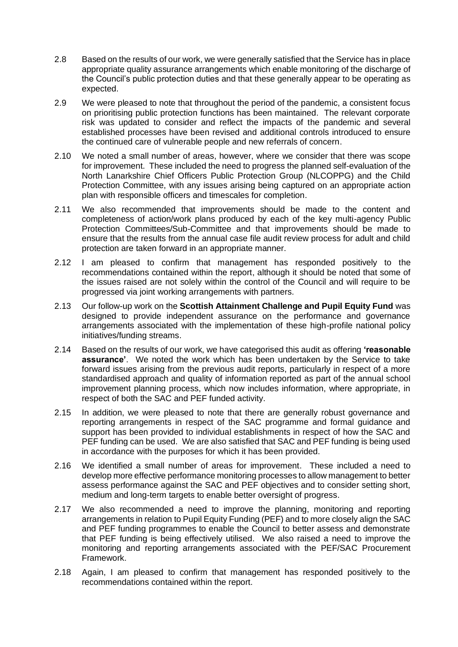- 2.8 Based on the results of our work, we were generally satisfied that the Service has in place appropriate quality assurance arrangements which enable monitoring of the discharge of the Council's public protection duties and that these generally appear to be operating as expected.
- 2.9 We were pleased to note that throughout the period of the pandemic, a consistent focus on prioritising public protection functions has been maintained. The relevant corporate risk was updated to consider and reflect the impacts of the pandemic and several established processes have been revised and additional controls introduced to ensure the continued care of vulnerable people and new referrals of concern.
- 2.10 We noted a small number of areas, however, where we consider that there was scope for improvement. These included the need to progress the planned self-evaluation of the North Lanarkshire Chief Officers Public Protection Group (NLCOPPG) and the Child Protection Committee, with any issues arising being captured on an appropriate action plan with responsible officers and timescales for completion.
- 2.11 We also recommended that improvements should be made to the content and completeness of action/work plans produced by each of the key multi-agency Public Protection Committees/Sub-Committee and that improvements should be made to ensure that the results from the annual case file audit review process for adult and child protection are taken forward in an appropriate manner.
- 2.12 I am pleased to confirm that management has responded positively to the recommendations contained within the report, although it should be noted that some of the issues raised are not solely within the control of the Council and will require to be progressed via joint working arrangements with partners.
- 2.13 Our follow-up work on the **Scottish Attainment Challenge and Pupil Equity Fund** was designed to provide independent assurance on the performance and governance arrangements associated with the implementation of these high-profile national policy initiatives/funding streams.
- 2.14 Based on the results of our work, we have categorised this audit as offering **'reasonable assurance'**. We noted the work which has been undertaken by the Service to take forward issues arising from the previous audit reports, particularly in respect of a more standardised approach and quality of information reported as part of the annual school improvement planning process, which now includes information, where appropriate, in respect of both the SAC and PEF funded activity.
- 2.15 In addition, we were pleased to note that there are generally robust governance and reporting arrangements in respect of the SAC programme and formal guidance and support has been provided to individual establishments in respect of how the SAC and PEF funding can be used. We are also satisfied that SAC and PEF funding is being used in accordance with the purposes for which it has been provided.
- 2.16 We identified a small number of areas for improvement. These included a need to develop more effective performance monitoring processes to allow management to better assess performance against the SAC and PEF objectives and to consider setting short, medium and long-term targets to enable better oversight of progress.
- 2.17 We also recommended a need to improve the planning, monitoring and reporting arrangements in relation to Pupil Equity Funding (PEF) and to more closely align the SAC and PEF funding programmes to enable the Council to better assess and demonstrate that PEF funding is being effectively utilised. We also raised a need to improve the monitoring and reporting arrangements associated with the PEF/SAC Procurement Framework.
- 2.18 Again, I am pleased to confirm that management has responded positively to the recommendations contained within the report.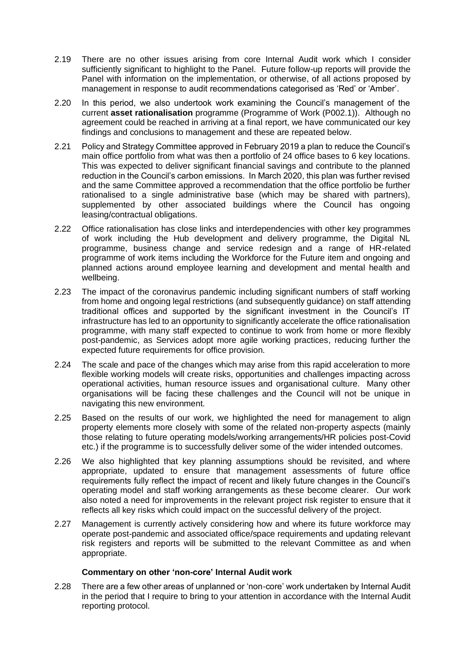- 2.19 There are no other issues arising from core Internal Audit work which I consider sufficiently significant to highlight to the Panel. Future follow-up reports will provide the Panel with information on the implementation, or otherwise, of all actions proposed by management in response to audit recommendations categorised as 'Red' or 'Amber'.
- 2.20 In this period, we also undertook work examining the Council's management of the current **asset rationalisation** programme (Programme of Work (P002.1)). Although no agreement could be reached in arriving at a final report, we have communicated our key findings and conclusions to management and these are repeated below.
- 2.21 Policy and Strategy Committee approved in February 2019 a plan to reduce the Council's main office portfolio from what was then a portfolio of 24 office bases to 6 key locations. This was expected to deliver significant financial savings and contribute to the planned reduction in the Council's carbon emissions. In March 2020, this plan was further revised and the same Committee approved a recommendation that the office portfolio be further rationalised to a single administrative base (which may be shared with partners), supplemented by other associated buildings where the Council has ongoing leasing/contractual obligations.
- 2.22 Office rationalisation has close links and interdependencies with other key programmes of work including the Hub development and delivery programme, the Digital NL programme, business change and service redesign and a range of HR-related programme of work items including the Workforce for the Future item and ongoing and planned actions around employee learning and development and mental health and wellbeing.
- 2.23 The impact of the coronavirus pandemic including significant numbers of staff working from home and ongoing legal restrictions (and subsequently guidance) on staff attending traditional offices and supported by the significant investment in the Council's IT infrastructure has led to an opportunity to significantly accelerate the office rationalisation programme, with many staff expected to continue to work from home or more flexibly post-pandemic, as Services adopt more agile working practices, reducing further the expected future requirements for office provision.
- 2.24 The scale and pace of the changes which may arise from this rapid acceleration to more flexible working models will create risks, opportunities and challenges impacting across operational activities, human resource issues and organisational culture. Many other organisations will be facing these challenges and the Council will not be unique in navigating this new environment.
- 2.25 Based on the results of our work, we highlighted the need for management to align property elements more closely with some of the related non-property aspects (mainly those relating to future operating models/working arrangements/HR policies post-Covid etc.) if the programme is to successfully deliver some of the wider intended outcomes.
- 2.26 We also highlighted that key planning assumptions should be revisited, and where appropriate, updated to ensure that management assessments of future office requirements fully reflect the impact of recent and likely future changes in the Council's operating model and staff working arrangements as these become clearer. Our work also noted a need for improvements in the relevant project risk register to ensure that it reflects all key risks which could impact on the successful delivery of the project.
- 2.27 Management is currently actively considering how and where its future workforce may operate post-pandemic and associated office/space requirements and updating relevant risk registers and reports will be submitted to the relevant Committee as and when appropriate.

## **Commentary on other 'non-core' Internal Audit work**

2.28 There are a few other areas of unplanned or 'non-core' work undertaken by Internal Audit in the period that I require to bring to your attention in accordance with the Internal Audit reporting protocol.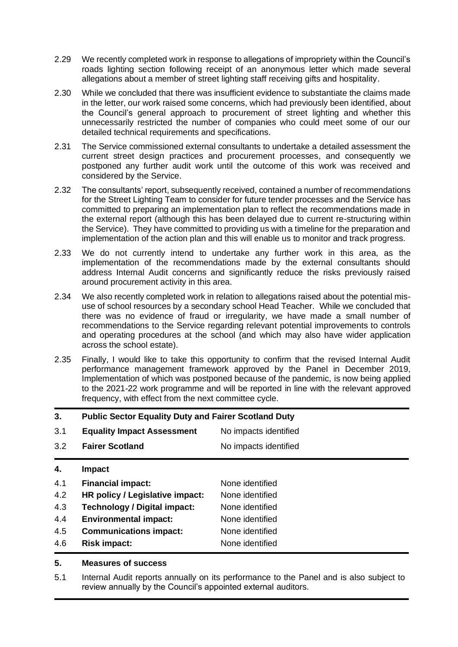- 2.29 We recently completed work in response to allegations of impropriety within the Council's roads lighting section following receipt of an anonymous letter which made several allegations about a member of street lighting staff receiving gifts and hospitality.
- 2.30 While we concluded that there was insufficient evidence to substantiate the claims made in the letter, our work raised some concerns, which had previously been identified, about the Council's general approach to procurement of street lighting and whether this unnecessarily restricted the number of companies who could meet some of our our detailed technical requirements and specifications.
- 2.31 The Service commissioned external consultants to undertake a detailed assessment the current street design practices and procurement processes, and consequently we postponed any further audit work until the outcome of this work was received and considered by the Service.
- 2.32 The consultants' report, subsequently received, contained a number of recommendations for the Street Lighting Team to consider for future tender processes and the Service has committed to preparing an implementation plan to reflect the recommendations made in the external report (although this has been delayed due to current re-structuring within the Service). They have committed to providing us with a timeline for the preparation and implementation of the action plan and this will enable us to monitor and track progress.
- 2.33 We do not currently intend to undertake any further work in this area, as the implementation of the recommendations made by the external consultants should address Internal Audit concerns and significantly reduce the risks previously raised around procurement activity in this area.
- 2.34 We also recently completed work in relation to allegations raised about the potential misuse of school resources by a secondary school Head Teacher. While we concluded that there was no evidence of fraud or irregularity, we have made a small number of recommendations to the Service regarding relevant potential improvements to controls and operating procedures at the school (and which may also have wider application across the school estate).
- 2.35 Finally, I would like to take this opportunity to confirm that the revised Internal Audit performance management framework approved by the Panel in December 2019, Implementation of which was postponed because of the pandemic, is now being applied to the 2021-22 work programme and will be reported in line with the relevant approved frequency, with effect from the next committee cycle.

| 3.  | <b>Public Sector Equality Duty and Fairer Scotland Duty</b> |                       |  |  |  |
|-----|-------------------------------------------------------------|-----------------------|--|--|--|
| 3.1 | <b>Equality Impact Assessment</b>                           | No impacts identified |  |  |  |
| 3.2 | <b>Fairer Scotland</b>                                      | No impacts identified |  |  |  |
| 4.  | Impact                                                      |                       |  |  |  |
| 4.1 | <b>Financial impact:</b>                                    | None identified       |  |  |  |
| 4.2 | HR policy / Legislative impact:                             | None identified       |  |  |  |
| 4.3 | <b>Technology / Digital impact:</b>                         | None identified       |  |  |  |
| 4.4 | <b>Environmental impact:</b>                                | None identified       |  |  |  |
| 4.5 | <b>Communications impact:</b>                               | None identified       |  |  |  |
| 4.6 | <b>Risk impact:</b>                                         | None identified       |  |  |  |

## **5. Measures of success**

5.1 Internal Audit reports annually on its performance to the Panel and is also subject to review annually by the Council's appointed external auditors.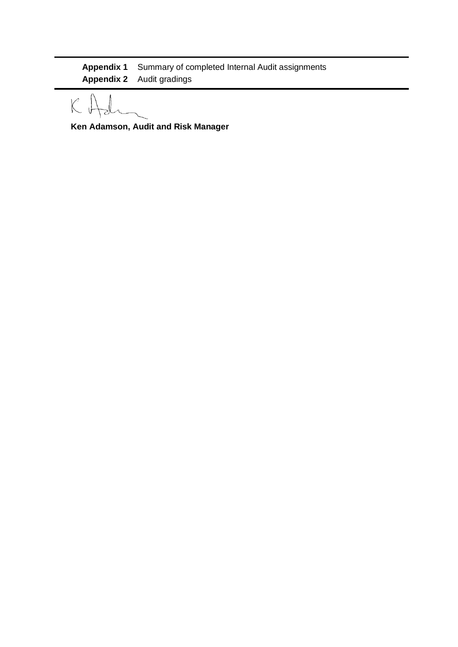**Appendix 1** Summary of completed Internal Audit assignments **Appendix 2** Audit gradings

 $\mathcal{K}$ 

**Ken Adamson, Audit and Risk Manager**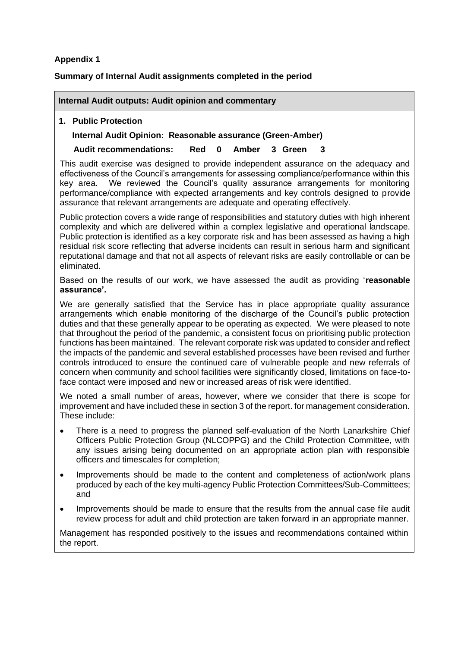# **Appendix 1**

# **Summary of Internal Audit assignments completed in the period**

## **Internal Audit outputs: Audit opinion and commentary**

# **1. Public Protection**

# **Internal Audit Opinion: Reasonable assurance (Green-Amber)**

# **Audit recommendations: Red 0 Amber 3 Green 3**

This audit exercise was designed to provide independent assurance on the adequacy and effectiveness of the Council's arrangements for assessing compliance/performance within this key area. We reviewed the Council's quality assurance arrangements for monitoring performance/compliance with expected arrangements and key controls designed to provide assurance that relevant arrangements are adequate and operating effectively.

Public protection covers a wide range of responsibilities and statutory duties with high inherent complexity and which are delivered within a complex legislative and operational landscape. Public protection is identified as a key corporate risk and has been assessed as having a high residual risk score reflecting that adverse incidents can result in serious harm and significant reputational damage and that not all aspects of relevant risks are easily controllable or can be eliminated.

Based on the results of our work, we have assessed the audit as providing '**reasonable assurance'.**

We are generally satisfied that the Service has in place appropriate quality assurance arrangements which enable monitoring of the discharge of the Council's public protection duties and that these generally appear to be operating as expected. We were pleased to note that throughout the period of the pandemic, a consistent focus on prioritising public protection functions has been maintained. The relevant corporate risk was updated to consider and reflect the impacts of the pandemic and several established processes have been revised and further controls introduced to ensure the continued care of vulnerable people and new referrals of concern when community and school facilities were significantly closed, limitations on face-toface contact were imposed and new or increased areas of risk were identified.

We noted a small number of areas, however, where we consider that there is scope for improvement and have included these in section 3 of the report. for management consideration. These include:

- There is a need to progress the planned self-evaluation of the North Lanarkshire Chief Officers Public Protection Group (NLCOPPG) and the Child Protection Committee, with any issues arising being documented on an appropriate action plan with responsible officers and timescales for completion;
- Improvements should be made to the content and completeness of action/work plans produced by each of the key multi-agency Public Protection Committees/Sub-Committees; and
- Improvements should be made to ensure that the results from the annual case file audit review process for adult and child protection are taken forward in an appropriate manner.

Management has responded positively to the issues and recommendations contained within the report.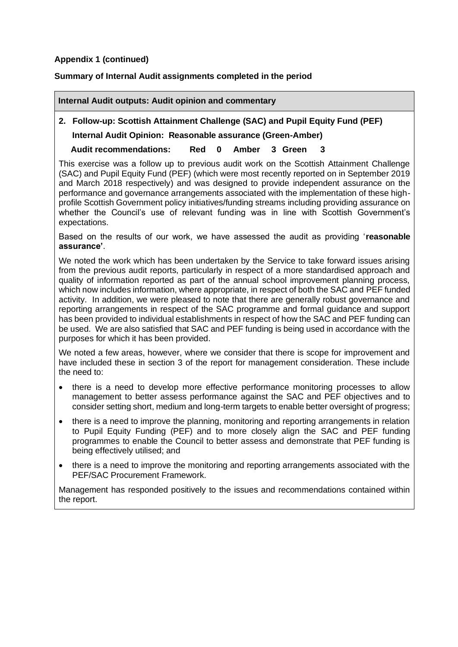# **Appendix 1 (continued)**

# **Summary of Internal Audit assignments completed in the period**

#### **Internal Audit outputs: Audit opinion and commentary**

# **2. Follow-up: Scottish Attainment Challenge (SAC) and Pupil Equity Fund (PEF) Internal Audit Opinion: Reasonable assurance (Green-Amber)**

**Audit recommendations: Red 0 Amber 3 Green 3**

This exercise was a follow up to previous audit work on the Scottish Attainment Challenge (SAC) and Pupil Equity Fund (PEF) (which were most recently reported on in September 2019 and March 2018 respectively) and was designed to provide independent assurance on the performance and governance arrangements associated with the implementation of these highprofile Scottish Government policy initiatives/funding streams including providing assurance on whether the Council's use of relevant funding was in line with Scottish Government's expectations.

Based on the results of our work, we have assessed the audit as providing '**reasonable assurance'**.

We noted the work which has been undertaken by the Service to take forward issues arising from the previous audit reports, particularly in respect of a more standardised approach and quality of information reported as part of the annual school improvement planning process, which now includes information, where appropriate, in respect of both the SAC and PEF funded activity. In addition, we were pleased to note that there are generally robust governance and reporting arrangements in respect of the SAC programme and formal guidance and support has been provided to individual establishments in respect of how the SAC and PEF funding can be used. We are also satisfied that SAC and PEF funding is being used in accordance with the purposes for which it has been provided.

We noted a few areas, however, where we consider that there is scope for improvement and have included these in section 3 of the report for management consideration. These include the need to:

- there is a need to develop more effective performance monitoring processes to allow management to better assess performance against the SAC and PEF objectives and to consider setting short, medium and long-term targets to enable better oversight of progress;
- there is a need to improve the planning, monitoring and reporting arrangements in relation to Pupil Equity Funding (PEF) and to more closely align the SAC and PEF funding programmes to enable the Council to better assess and demonstrate that PEF funding is being effectively utilised; and
- there is a need to improve the monitoring and reporting arrangements associated with the PEF/SAC Procurement Framework.

Management has responded positively to the issues and recommendations contained within the report.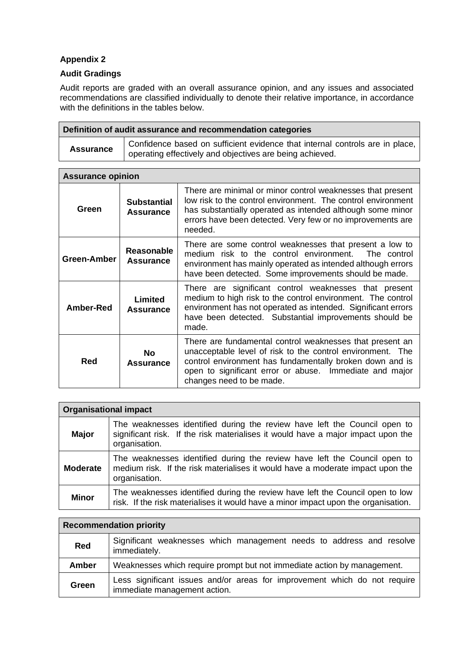# **Appendix 2**

# **Audit Gradings**

Audit reports are graded with an overall assurance opinion, and any issues and associated recommendations are classified individually to denote their relative importance, in accordance with the definitions in the tables below.

| Definition of audit assurance and recommendation categories |                                                                                                                                                       |  |  |  |  |  |
|-------------------------------------------------------------|-------------------------------------------------------------------------------------------------------------------------------------------------------|--|--|--|--|--|
| <b>Assurance</b>                                            | Confidence based on sufficient evidence that internal controls are in place,<br><sup>1</sup> operating effectively and objectives are being achieved. |  |  |  |  |  |

| <b>Assurance opinion</b> |                                        |                                                                                                                                                                                                                                                                           |  |  |  |  |
|--------------------------|----------------------------------------|---------------------------------------------------------------------------------------------------------------------------------------------------------------------------------------------------------------------------------------------------------------------------|--|--|--|--|
| Green                    | <b>Substantial</b><br><b>Assurance</b> | There are minimal or minor control weaknesses that present<br>low risk to the control environment. The control environment<br>has substantially operated as intended although some minor<br>errors have been detected. Very few or no improvements are<br>needed.         |  |  |  |  |
| Green-Amber              | <b>Reasonable</b><br><b>Assurance</b>  | There are some control weaknesses that present a low to<br>medium risk to the control environment. The control<br>environment has mainly operated as intended although errors<br>have been detected. Some improvements should be made.                                    |  |  |  |  |
| <b>Amber-Red</b>         | Limited<br><b>Assurance</b>            | There are significant control weaknesses that present<br>medium to high risk to the control environment. The control<br>environment has not operated as intended. Significant errors<br>have been detected. Substantial improvements should be<br>made.                   |  |  |  |  |
| Red                      | <b>No</b><br><b>Assurance</b>          | There are fundamental control weaknesses that present an<br>unacceptable level of risk to the control environment. The<br>control environment has fundamentally broken down and is<br>open to significant error or abuse. Immediate and major<br>changes need to be made. |  |  |  |  |

| <b>Organisational impact</b> |                                                                                                                                                                                |  |  |  |  |  |
|------------------------------|--------------------------------------------------------------------------------------------------------------------------------------------------------------------------------|--|--|--|--|--|
| <b>Major</b>                 | The weaknesses identified during the review have left the Council open to<br>significant risk. If the risk materialises it would have a major impact upon the<br>organisation. |  |  |  |  |  |
| <b>Moderate</b>              | The weaknesses identified during the review have left the Council open to<br>medium risk. If the risk materialises it would have a moderate impact upon the<br>organisation.   |  |  |  |  |  |
| <b>Minor</b>                 | The weaknesses identified during the review have left the Council open to low<br>risk. If the risk materialises it would have a minor impact upon the organisation.            |  |  |  |  |  |

| <b>Recommendation priority</b> |                                                                                                           |  |  |  |  |  |
|--------------------------------|-----------------------------------------------------------------------------------------------------------|--|--|--|--|--|
| <b>Red</b>                     | Significant weaknesses which management needs to address and resolve<br>immediately.                      |  |  |  |  |  |
| <b>Amber</b>                   | Weaknesses which require prompt but not immediate action by management.                                   |  |  |  |  |  |
| Green                          | Less significant issues and/or areas for improvement which do not require<br>immediate management action. |  |  |  |  |  |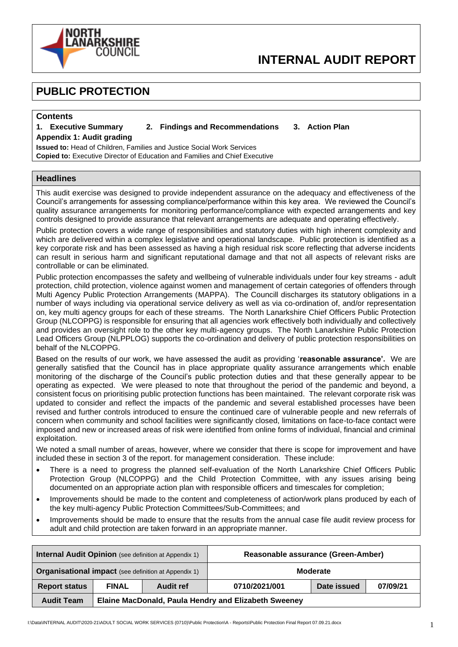

# **INTERNAL AUDIT REPORT**

# **PUBLIC PROTECTION**

#### **Contents**

#### **1. Executive Summary 2. Findings and Recommendations 3. Action Plan**

**Appendix 1: Audit grading Issued to:** Head of Children, Families and Justice Social Work Services

**Copied to:** Executive Director of Education and Families and Chief Executive

#### **Headlines**

This audit exercise was designed to provide independent assurance on the adequacy and effectiveness of the Council's arrangements for assessing compliance/performance within this key area. We reviewed the Council's quality assurance arrangements for monitoring performance/compliance with expected arrangements and key controls designed to provide assurance that relevant arrangements are adequate and operating effectively.

Public protection covers a wide range of responsibilities and statutory duties with high inherent complexity and which are delivered within a complex legislative and operational landscape. Public protection is identified as a key corporate risk and has been assessed as having a high residual risk score reflecting that adverse incidents can result in serious harm and significant reputational damage and that not all aspects of relevant risks are controllable or can be eliminated.

Public protection encompasses the safety and wellbeing of vulnerable individuals under four key streams - adult protection, child protection, violence against women and management of certain categories of offenders through Multi Agency Public Protection Arrangements (MAPPA). The Councill discharges its statutory obligations in a number of ways including via operational service delivery as well as via co-ordination of, and/or representation on, key multi agency groups for each of these streams. The North Lanarkshire Chief Officers Public Protection Group (NLCOPPG) is responsible for ensuring that all agencies work effectively both individually and collectively and provides an oversight role to the other key multi-agency groups. The North Lanarkshire Public Protection Lead Officers Group (NLPPLOG) supports the co-ordination and delivery of public protection responsibilities on behalf of the NLCOPPG.

Based on the results of our work, we have assessed the audit as providing '**reasonable assurance'.** We are generally satisfied that the Council has in place appropriate quality assurance arrangements which enable monitoring of the discharge of the Council's public protection duties and that these generally appear to be operating as expected. We were pleased to note that throughout the period of the pandemic and beyond, a consistent focus on prioritising public protection functions has been maintained. The relevant corporate risk was updated to consider and reflect the impacts of the pandemic and several established processes have been revised and further controls introduced to ensure the continued care of vulnerable people and new referrals of concern when community and school facilities were significantly closed, limitations on face-to-face contact were imposed and new or increased areas of risk were identified from online forms of individual, financial and criminal exploitation.

We noted a small number of areas, however, where we consider that there is scope for improvement and have included these in section 3 of the report. for management consideration. These include:

- There is a need to progress the planned self-evaluation of the North Lanarkshire Chief Officers Public Protection Group (NLCOPPG) and the Child Protection Committee, with any issues arising being documented on an appropriate action plan with responsible officers and timescales for completion;
- Improvements should be made to the content and completeness of action/work plans produced by each of the key multi-agency Public Protection Committees/Sub-Committees; and
- Improvements should be made to ensure that the results from the annual case file audit review process for adult and child protection are taken forward in an appropriate manner.

|                                                             |                                                      | <b>Internal Audit Opinion</b> (see definition at Appendix 1) | Reasonable assurance (Green-Amber)       |  |  |
|-------------------------------------------------------------|------------------------------------------------------|--------------------------------------------------------------|------------------------------------------|--|--|
| <b>Organisational impact</b> (see definition at Appendix 1) |                                                      |                                                              | <b>Moderate</b>                          |  |  |
| <b>Report status</b>                                        | <b>FINAL</b>                                         | <b>Audit ref</b>                                             | 0710/2021/001<br>Date issued<br>07/09/21 |  |  |
| <b>Audit Team</b>                                           | Elaine MacDonald, Paula Hendry and Elizabeth Sweeney |                                                              |                                          |  |  |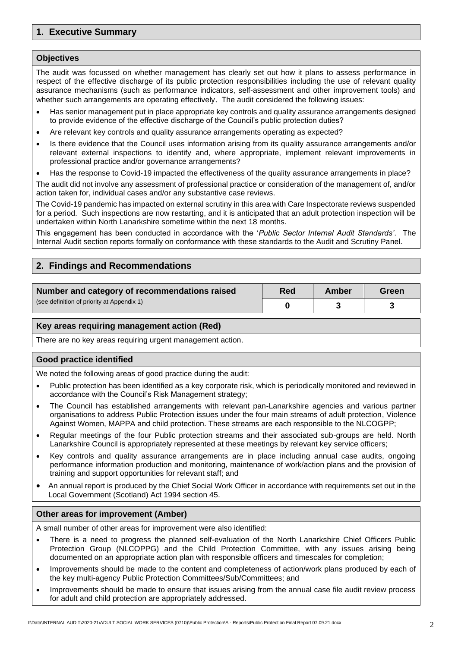# **1. Executive Summary**

#### **Objectives**

The audit was focussed on whether management has clearly set out how it plans to assess performance in respect of the effective discharge of its public protection responsibilities including the use of relevant quality assurance mechanisms (such as performance indicators, self-assessment and other improvement tools) and whether such arrangements are operating effectively. The audit considered the following issues:

- Has senior management put in place appropriate key controls and quality assurance arrangements designed to provide evidence of the effective discharge of the Council's public protection duties?
- Are relevant key controls and quality assurance arrangements operating as expected?
- Is there evidence that the Council uses information arising from its quality assurance arrangements and/or relevant external inspections to identify and, where appropriate, implement relevant improvements in professional practice and/or governance arrangements?
- Has the response to Covid-19 impacted the effectiveness of the quality assurance arrangements in place?

The audit did not involve any assessment of professional practice or consideration of the management of, and/or action taken for, individual cases and/or any substantive case reviews.

The Covid-19 pandemic has impacted on external scrutiny in this area with Care Inspectorate reviews suspended for a period. Such inspections are now restarting, and it is anticipated that an adult protection inspection will be undertaken within North Lanarkshire sometime within the next 18 months.

This engagement has been conducted in accordance with the '*Public Sector Internal Audit Standards'*. The Internal Audit section reports formally on conformance with these standards to the Audit and Scrutiny Panel.

# **2. Findings and Recommendations**

| Number and category of recommendations raised | Red | Amber | Green |
|-----------------------------------------------|-----|-------|-------|
| (see definition of priority at Appendix 1)    |     |       |       |

#### **Key areas requiring management action (Red)**

There are no key areas requiring urgent management action.

#### **Good practice identified**

We noted the following areas of good practice during the audit:

- Public protection has been identified as a key corporate risk, which is periodically monitored and reviewed in accordance with the Council's Risk Management strategy;
- The Council has established arrangements with relevant pan-Lanarkshire agencies and various partner organisations to address Public Protection issues under the four main streams of adult protection, Violence Against Women, MAPPA and child protection. These streams are each responsible to the NLCOGPP;
- Regular meetings of the four Public protection streams and their associated sub-groups are held. North Lanarkshire Council is appropriately represented at these meetings by relevant key service officers;
- Key controls and quality assurance arrangements are in place including annual case audits, ongoing performance information production and monitoring, maintenance of work/action plans and the provision of training and support opportunities for relevant staff; and
- An annual report is produced by the Chief Social Work Officer in accordance with requirements set out in the Local Government (Scotland) Act 1994 section 45.

#### **Other areas for improvement (Amber)**

A small number of other areas for improvement were also identified:

- There is a need to progress the planned self-evaluation of the North Lanarkshire Chief Officers Public Protection Group (NLCOPPG) and the Child Protection Committee, with any issues arising being documented on an appropriate action plan with responsible officers and timescales for completion;
- Improvements should be made to the content and completeness of action/work plans produced by each of the key multi-agency Public Protection Committees/Sub/Committees; and
- Improvements should be made to ensure that issues arising from the annual case file audit review process for adult and child protection are appropriately addressed.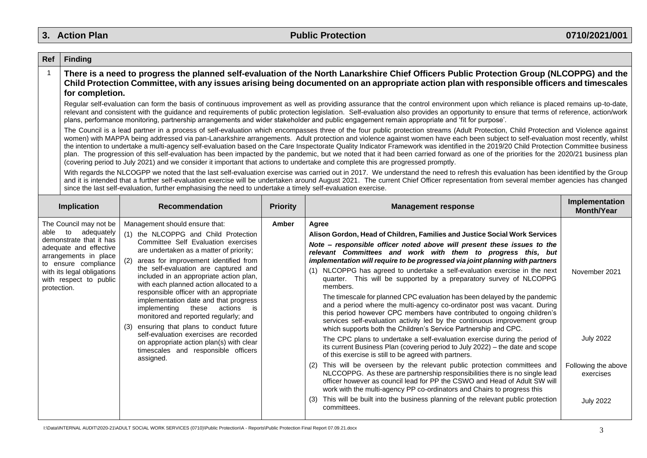# **3. Action Plan Public Protection 0710/2021/001**

| Ref            | <b>Finding</b>                                                                                                                                                                                                                                                                                                                                                                                                                                                                                                                                                                                                                                                                                                                                                                                                                                                                                 |                                                                                                                                                                                                                                                                                                                                                                                                                                                                                                                                                                                                                                                                                                     |       |                                                                                                                                                                                                                                                                                                                                                                                                                                                                                                                                                                                                                                                                                                                                                                                                                                                                                                                                                                                                                                                                                                                                                                                                                                                                                                                                                                                                                                                                                                                      |                                                                                           |  |  |
|----------------|------------------------------------------------------------------------------------------------------------------------------------------------------------------------------------------------------------------------------------------------------------------------------------------------------------------------------------------------------------------------------------------------------------------------------------------------------------------------------------------------------------------------------------------------------------------------------------------------------------------------------------------------------------------------------------------------------------------------------------------------------------------------------------------------------------------------------------------------------------------------------------------------|-----------------------------------------------------------------------------------------------------------------------------------------------------------------------------------------------------------------------------------------------------------------------------------------------------------------------------------------------------------------------------------------------------------------------------------------------------------------------------------------------------------------------------------------------------------------------------------------------------------------------------------------------------------------------------------------------------|-------|----------------------------------------------------------------------------------------------------------------------------------------------------------------------------------------------------------------------------------------------------------------------------------------------------------------------------------------------------------------------------------------------------------------------------------------------------------------------------------------------------------------------------------------------------------------------------------------------------------------------------------------------------------------------------------------------------------------------------------------------------------------------------------------------------------------------------------------------------------------------------------------------------------------------------------------------------------------------------------------------------------------------------------------------------------------------------------------------------------------------------------------------------------------------------------------------------------------------------------------------------------------------------------------------------------------------------------------------------------------------------------------------------------------------------------------------------------------------------------------------------------------------|-------------------------------------------------------------------------------------------|--|--|
| $\overline{1}$ | There is a need to progress the planned self-evaluation of the North Lanarkshire Chief Officers Public Protection Group (NLCOPPG) and the<br>Child Protection Committee, with any issues arising being documented on an appropriate action plan with responsible officers and timescales<br>for completion.                                                                                                                                                                                                                                                                                                                                                                                                                                                                                                                                                                                    |                                                                                                                                                                                                                                                                                                                                                                                                                                                                                                                                                                                                                                                                                                     |       |                                                                                                                                                                                                                                                                                                                                                                                                                                                                                                                                                                                                                                                                                                                                                                                                                                                                                                                                                                                                                                                                                                                                                                                                                                                                                                                                                                                                                                                                                                                      |                                                                                           |  |  |
|                | Regular self-evaluation can form the basis of continuous improvement as well as providing assurance that the control environment upon which reliance is placed remains up-to-date,<br>relevant and consistent with the guidance and requirements of public protection legislation. Self-evaluation also provides an opportunity to ensure that terms of reference, action/work<br>plans, performance monitoring, partnership arrangements and wider stakeholder and public engagement remain appropriate and 'fit for purpose'.                                                                                                                                                                                                                                                                                                                                                                |                                                                                                                                                                                                                                                                                                                                                                                                                                                                                                                                                                                                                                                                                                     |       |                                                                                                                                                                                                                                                                                                                                                                                                                                                                                                                                                                                                                                                                                                                                                                                                                                                                                                                                                                                                                                                                                                                                                                                                                                                                                                                                                                                                                                                                                                                      |                                                                                           |  |  |
|                | The Council is a lead partner in a process of self-evaluation which encompasses three of the four public protection streams (Adult Protection, Child Protection and Violence against<br>women) with MAPPA being addressed via pan-Lanarkshire arrangements. Adult protection and violence against women have each been subject to self-evaluation most recently, whilst<br>the intention to undertake a multi-agency self-evaluation based on the Care Inspectorate Quality Indicator Framework was identified in the 2019/20 Child Protection Committee business<br>plan. The progression of this self-evaluation has been impacted by the pandemic, but we noted that it had been carried forward as one of the priorities for the 2020/21 business plan<br>(covering period to July 2021) and we consider it important that actions to undertake and complete this are progressed promptly. |                                                                                                                                                                                                                                                                                                                                                                                                                                                                                                                                                                                                                                                                                                     |       |                                                                                                                                                                                                                                                                                                                                                                                                                                                                                                                                                                                                                                                                                                                                                                                                                                                                                                                                                                                                                                                                                                                                                                                                                                                                                                                                                                                                                                                                                                                      |                                                                                           |  |  |
|                |                                                                                                                                                                                                                                                                                                                                                                                                                                                                                                                                                                                                                                                                                                                                                                                                                                                                                                | since the last self-evaluation, further emphasising the need to undertake a timely self-evaluation exercise.                                                                                                                                                                                                                                                                                                                                                                                                                                                                                                                                                                                        |       | With regards the NLCOGPP we noted that the last self-evaluation exercise was carried out in 2017. We understand the need to refresh this evaluation has been identified by the Group<br>and it is intended that a further self-evaluation exercise will be undertaken around August 2021. The current Chief Officer representation from several member agencies has changed                                                                                                                                                                                                                                                                                                                                                                                                                                                                                                                                                                                                                                                                                                                                                                                                                                                                                                                                                                                                                                                                                                                                          |                                                                                           |  |  |
|                | Implementation<br>Implication<br><b>Recommendation</b><br><b>Priority</b><br><b>Management response</b><br><b>Month/Year</b>                                                                                                                                                                                                                                                                                                                                                                                                                                                                                                                                                                                                                                                                                                                                                                   |                                                                                                                                                                                                                                                                                                                                                                                                                                                                                                                                                                                                                                                                                                     |       |                                                                                                                                                                                                                                                                                                                                                                                                                                                                                                                                                                                                                                                                                                                                                                                                                                                                                                                                                                                                                                                                                                                                                                                                                                                                                                                                                                                                                                                                                                                      |                                                                                           |  |  |
| protection.    | The Council may not be<br>able to adequately<br>demonstrate that it has<br>adequate and effective<br>arrangements in place<br>to ensure compliance<br>with its legal obligations<br>with respect to public                                                                                                                                                                                                                                                                                                                                                                                                                                                                                                                                                                                                                                                                                     | Management should ensure that:<br>(1) the NLCOPPG and Child Protection<br>Committee Self Evaluation exercises<br>are undertaken as a matter of priority;<br>areas for improvement identified from<br>the self-evaluation are captured and<br>included in an appropriate action plan,<br>with each planned action allocated to a<br>responsible officer with an appropriate<br>implementation date and that progress<br>implementing<br>these<br>actions<br>is is<br>monitored and reported regularly; and<br>ensuring that plans to conduct future<br>(3)<br>self-evaluation exercises are recorded<br>on appropriate action plan(s) with clear<br>timescales and responsible officers<br>assigned. | Amber | Agree<br>Alison Gordon, Head of Children, Families and Justice Social Work Services<br>Note - responsible officer noted above will present these issues to the<br>relevant Committees and work with them to progress this, but<br>implementation will require to be progressed via joint planning with partners<br>(1) NLCOPPG has agreed to undertake a self-evaluation exercise in the next<br>quarter. This will be supported by a preparatory survey of NLCOPPG<br>members.<br>The timescale for planned CPC evaluation has been delayed by the pandemic<br>and a period where the multi-agency co-ordinator post was vacant. During<br>this period however CPC members have contributed to ongoing children's<br>services self-evaluation activity led by the continuous improvement group<br>which supports both the Children's Service Partnership and CPC.<br>The CPC plans to undertake a self-evaluation exercise during the period of<br>its current Business Plan (covering period to July 2022) - the date and scope<br>of this exercise is still to be agreed with partners.<br>This will be overseen by the relevant public protection committees and<br>NLCCOPPG. As these are partnership responsibilities there is no single lead<br>officer however as council lead for PP the CSWO and Head of Adult SW will<br>work with the multi-agency PP co-ordinators and Chairs to progress this<br>This will be built into the business planning of the relevant public protection<br>(3)<br>committees. | November 2021<br><b>July 2022</b><br>Following the above<br>exercises<br><b>July 2022</b> |  |  |

I:\Data\INTERNAL AUDIT\2020-21\ADULT SOCIAL WORK SERVICES (0710)\Public Protection\A - Reports\Public Protection Final Report 07.09.21.docx 3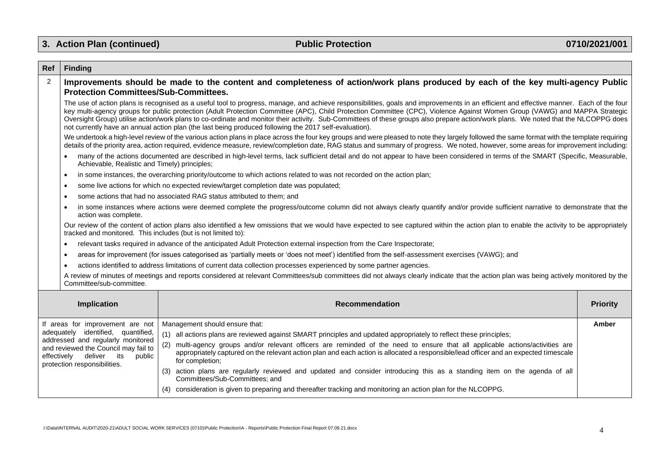| Ref                                                                                                                                                     | <b>Finding</b>                                                                                                                                                                   |                                                                                                                                                                                                                                                                                                                                                                                                                                                                                                                                                                                                                                                                        |                 |  |  |  |  |  |  |
|---------------------------------------------------------------------------------------------------------------------------------------------------------|----------------------------------------------------------------------------------------------------------------------------------------------------------------------------------|------------------------------------------------------------------------------------------------------------------------------------------------------------------------------------------------------------------------------------------------------------------------------------------------------------------------------------------------------------------------------------------------------------------------------------------------------------------------------------------------------------------------------------------------------------------------------------------------------------------------------------------------------------------------|-----------------|--|--|--|--|--|--|
| $\overline{2}$                                                                                                                                          | Improvements should be made to the content and completeness of action/work plans produced by each of the key multi-agency Public<br><b>Protection Committees/Sub-Committees.</b> |                                                                                                                                                                                                                                                                                                                                                                                                                                                                                                                                                                                                                                                                        |                 |  |  |  |  |  |  |
|                                                                                                                                                         |                                                                                                                                                                                  | The use of action plans is recognised as a useful tool to progress, manage, and achieve responsibilities, goals and improvements in an efficient and effective manner. Each of the four<br>key multi-agency groups for public protection (Adult Protection Committee (APC), Child Protection Committee (CPC), Violence Against Women Group (VAWG) and MAPPA Strategic<br>Oversight Group) utilise action/work plans to co-ordinate and monitor their activity. Sub-Committees of these groups also prepare action/work plans. We noted that the NLCOPPG does<br>not currently have an annual action plan (the last being produced following the 2017 self-evaluation). |                 |  |  |  |  |  |  |
|                                                                                                                                                         |                                                                                                                                                                                  | We undertook a high-level review of the various action plans in place across the four key groups and were pleased to note they largely followed the same format with the template requiring<br>details of the priority area, action required, evidence measure, review/completion date, RAG status and summary of progress. We noted, however, some areas for improvement including:                                                                                                                                                                                                                                                                                   |                 |  |  |  |  |  |  |
|                                                                                                                                                         | $\bullet$<br>Achievable, Realistic and Timely) principles;                                                                                                                       | many of the actions documented are described in high-level terms, lack sufficient detail and do not appear to have been considered in terms of the SMART (Specific, Measurable,                                                                                                                                                                                                                                                                                                                                                                                                                                                                                        |                 |  |  |  |  |  |  |
|                                                                                                                                                         | $\bullet$                                                                                                                                                                        | in some instances, the overarching priority/outcome to which actions related to was not recorded on the action plan;                                                                                                                                                                                                                                                                                                                                                                                                                                                                                                                                                   |                 |  |  |  |  |  |  |
|                                                                                                                                                         | $\bullet$                                                                                                                                                                        | some live actions for which no expected review/target completion date was populated;                                                                                                                                                                                                                                                                                                                                                                                                                                                                                                                                                                                   |                 |  |  |  |  |  |  |
|                                                                                                                                                         | $\bullet$                                                                                                                                                                        | some actions that had no associated RAG status attributed to them; and                                                                                                                                                                                                                                                                                                                                                                                                                                                                                                                                                                                                 |                 |  |  |  |  |  |  |
|                                                                                                                                                         | $\bullet$<br>action was complete.                                                                                                                                                | in some instances where actions were deemed complete the progress/outcome column did not always clearly quantify and/or provide sufficient narrative to demonstrate that the                                                                                                                                                                                                                                                                                                                                                                                                                                                                                           |                 |  |  |  |  |  |  |
|                                                                                                                                                         |                                                                                                                                                                                  | Our review of the content of action plans also identified a few omissions that we would have expected to see captured within the action plan to enable the activity to be appropriately<br>tracked and monitored. This includes (but is not limited to):                                                                                                                                                                                                                                                                                                                                                                                                               |                 |  |  |  |  |  |  |
|                                                                                                                                                         | $\bullet$                                                                                                                                                                        | relevant tasks required in advance of the anticipated Adult Protection external inspection from the Care Inspectorate;                                                                                                                                                                                                                                                                                                                                                                                                                                                                                                                                                 |                 |  |  |  |  |  |  |
|                                                                                                                                                         | $\bullet$                                                                                                                                                                        | areas for improvement (for issues categorised as 'partially meets or 'does not meet') identified from the self-assessment exercises (VAWG); and                                                                                                                                                                                                                                                                                                                                                                                                                                                                                                                        |                 |  |  |  |  |  |  |
|                                                                                                                                                         |                                                                                                                                                                                  | actions identified to address limitations of current data collection processes experienced by some partner agencies.                                                                                                                                                                                                                                                                                                                                                                                                                                                                                                                                                   |                 |  |  |  |  |  |  |
|                                                                                                                                                         | Committee/sub-committee.                                                                                                                                                         | A review of minutes of meetings and reports considered at relevant Committees/sub committees did not always clearly indicate that the action plan was being actively monitored by the                                                                                                                                                                                                                                                                                                                                                                                                                                                                                  |                 |  |  |  |  |  |  |
|                                                                                                                                                         | Implication                                                                                                                                                                      | <b>Recommendation</b>                                                                                                                                                                                                                                                                                                                                                                                                                                                                                                                                                                                                                                                  | <b>Priority</b> |  |  |  |  |  |  |
|                                                                                                                                                         | If areas for improvement are not                                                                                                                                                 | Management should ensure that:                                                                                                                                                                                                                                                                                                                                                                                                                                                                                                                                                                                                                                         | Amber           |  |  |  |  |  |  |
| adequately identified, quantified,<br>addressed and regularly monitored<br>and reviewed the Council may fail to<br>effectively<br>deliver its<br>public |                                                                                                                                                                                  | (1) all actions plans are reviewed against SMART principles and updated appropriately to reflect these principles;                                                                                                                                                                                                                                                                                                                                                                                                                                                                                                                                                     |                 |  |  |  |  |  |  |
|                                                                                                                                                         |                                                                                                                                                                                  | (2) multi-agency groups and/or relevant officers are reminded of the need to ensure that all applicable actions/activities are<br>appropriately captured on the relevant action plan and each action is allocated a responsible/lead officer and an expected timescale<br>for completion;                                                                                                                                                                                                                                                                                                                                                                              |                 |  |  |  |  |  |  |
|                                                                                                                                                         | protection responsibilities.                                                                                                                                                     | (3) action plans are regularly reviewed and updated and consider introducing this as a standing item on the agenda of all<br>Committees/Sub-Committees; and                                                                                                                                                                                                                                                                                                                                                                                                                                                                                                            |                 |  |  |  |  |  |  |
|                                                                                                                                                         |                                                                                                                                                                                  | (4) consideration is given to preparing and thereafter tracking and monitoring an action plan for the NLCOPPG.                                                                                                                                                                                                                                                                                                                                                                                                                                                                                                                                                         |                 |  |  |  |  |  |  |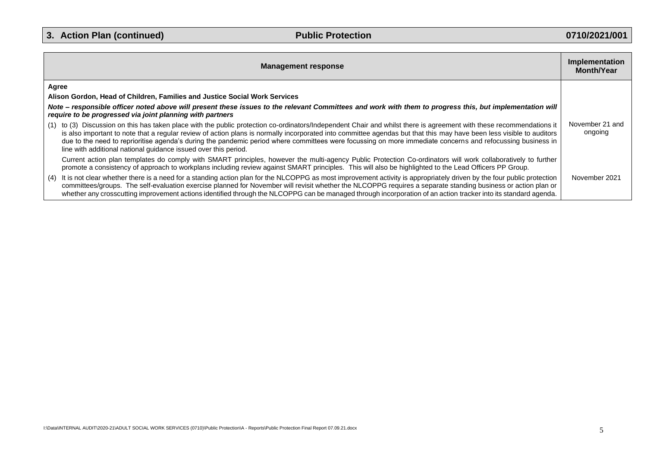| <b>Management response</b>                                                                                                                                                                                                                                                                                                                                                                                                                                                                                                                                                    | Implementation<br><b>Month/Year</b> |
|-------------------------------------------------------------------------------------------------------------------------------------------------------------------------------------------------------------------------------------------------------------------------------------------------------------------------------------------------------------------------------------------------------------------------------------------------------------------------------------------------------------------------------------------------------------------------------|-------------------------------------|
| Agree                                                                                                                                                                                                                                                                                                                                                                                                                                                                                                                                                                         |                                     |
| Alison Gordon, Head of Children, Families and Justice Social Work Services                                                                                                                                                                                                                                                                                                                                                                                                                                                                                                    |                                     |
| Note – responsible officer noted above will present these issues to the relevant Committees and work with them to progress this, but implementation will<br>require to be progressed via joint planning with partners                                                                                                                                                                                                                                                                                                                                                         |                                     |
| (1) to (3) Discussion on this has taken place with the public protection co-ordinators/Independent Chair and whilst there is agreement with these recommendations it<br>is also important to note that a regular review of action plans is normally incorporated into committee agendas but that this may have been less visible to auditors<br>due to the need to reprioritise agenda's during the pandemic period where committees were focussing on more immediate concerns and refocussing business in<br>line with additional national guidance issued over this period. | November 21 and<br>ongoing          |
| Current action plan templates do comply with SMART principles, however the multi-agency Public Protection Co-ordinators will work collaboratively to further<br>promote a consistency of approach to workplans including review against SMART principles. This will also be highlighted to the Lead Officers PP Group.                                                                                                                                                                                                                                                        |                                     |
| It is not clear whether there is a need for a standing action plan for the NLCOPPG as most improvement activity is appropriately driven by the four public protection<br>(4)<br>committees/groups. The self-evaluation exercise planned for November will revisit whether the NLCOPPG requires a separate standing business or action plan or<br>whether any crosscutting improvement actions identified through the NLCOPPG can be managed through incorporation of an action tracker into its standard agenda.                                                              | November 2021                       |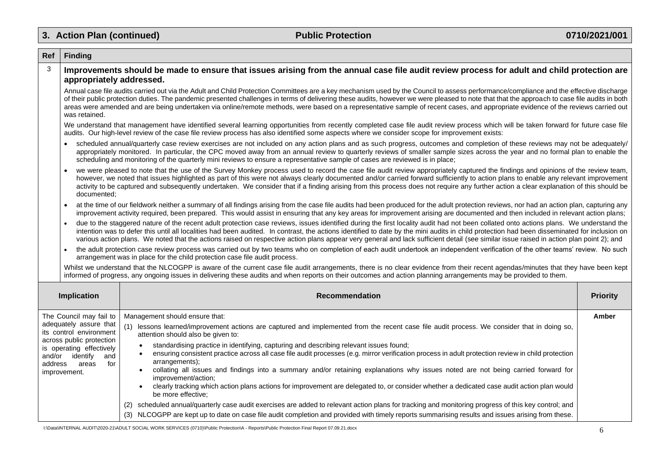$\blacksquare$ 

| Ref                                                                                                                                                                                                       | <b>Finding</b>                                                                                                                                                                                                                                                                                                                                                                                                                                                                                                                                                                               |                                                                                                                                                                                                                                                                                                                                                                                                                                                                                                                                                                                                                                                                                                                                                                                                                                                                                                                                                                                            |                 |  |  |  |  |
|-----------------------------------------------------------------------------------------------------------------------------------------------------------------------------------------------------------|----------------------------------------------------------------------------------------------------------------------------------------------------------------------------------------------------------------------------------------------------------------------------------------------------------------------------------------------------------------------------------------------------------------------------------------------------------------------------------------------------------------------------------------------------------------------------------------------|--------------------------------------------------------------------------------------------------------------------------------------------------------------------------------------------------------------------------------------------------------------------------------------------------------------------------------------------------------------------------------------------------------------------------------------------------------------------------------------------------------------------------------------------------------------------------------------------------------------------------------------------------------------------------------------------------------------------------------------------------------------------------------------------------------------------------------------------------------------------------------------------------------------------------------------------------------------------------------------------|-----------------|--|--|--|--|
| 3                                                                                                                                                                                                         |                                                                                                                                                                                                                                                                                                                                                                                                                                                                                                                                                                                              | Improvements should be made to ensure that issues arising from the annual case file audit review process for adult and child protection are<br>appropriately addressed.                                                                                                                                                                                                                                                                                                                                                                                                                                                                                                                                                                                                                                                                                                                                                                                                                    |                 |  |  |  |  |
|                                                                                                                                                                                                           | Annual case file audits carried out via the Adult and Child Protection Committees are a key mechanism used by the Council to assess performance/compliance and the effective discharge<br>of their public protection duties. The pandemic presented challenges in terms of delivering these audits, however we were pleased to note that that the approach to case file audits in both<br>areas were amended and are being undertaken via online/remote methods, were based on a representative sample of recent cases, and appropriate evidence of the reviews carried out<br>was retained. |                                                                                                                                                                                                                                                                                                                                                                                                                                                                                                                                                                                                                                                                                                                                                                                                                                                                                                                                                                                            |                 |  |  |  |  |
|                                                                                                                                                                                                           |                                                                                                                                                                                                                                                                                                                                                                                                                                                                                                                                                                                              | We understand that management have identified several learning opportunities from recently completed case file audit review process which will be taken forward for future case file<br>audits. Our high-level review of the case file review process has also identified some aspects where we consider scope for improvement exists:                                                                                                                                                                                                                                                                                                                                                                                                                                                                                                                                                                                                                                                     |                 |  |  |  |  |
|                                                                                                                                                                                                           |                                                                                                                                                                                                                                                                                                                                                                                                                                                                                                                                                                                              | scheduled annual/quarterly case review exercises are not included on any action plans and as such progress, outcomes and completion of these reviews may not be adequately/<br>appropriately monitored. In particular, the CPC moved away from an annual review to quarterly reviews of smaller sample sizes across the year and no formal plan to enable the<br>scheduling and monitoring of the quarterly mini reviews to ensure a representative sample of cases are reviewed is in place;                                                                                                                                                                                                                                                                                                                                                                                                                                                                                              |                 |  |  |  |  |
|                                                                                                                                                                                                           | documented;                                                                                                                                                                                                                                                                                                                                                                                                                                                                                                                                                                                  | we were pleased to note that the use of the Survey Monkey process used to record the case file audit review appropriately captured the findings and opinions of the review team,<br>however, we noted that issues highlighted as part of this were not always clearly documented and/or carried forward sufficiently to action plans to enable any relevant improvement<br>activity to be captured and subsequently undertaken. We consider that if a finding arising from this process does not require any further action a clear explanation of this should be                                                                                                                                                                                                                                                                                                                                                                                                                          |                 |  |  |  |  |
|                                                                                                                                                                                                           | $\bullet$                                                                                                                                                                                                                                                                                                                                                                                                                                                                                                                                                                                    | at the time of our fieldwork neither a summary of all findings arising from the case file audits had been produced for the adult protection reviews, nor had an action plan, capturing any<br>improvement activity required, been prepared. This would assist in ensuring that any key areas for improvement arising are documented and then included in relevant action plans;                                                                                                                                                                                                                                                                                                                                                                                                                                                                                                                                                                                                            |                 |  |  |  |  |
|                                                                                                                                                                                                           | $\bullet$                                                                                                                                                                                                                                                                                                                                                                                                                                                                                                                                                                                    | due to the staggered nature of the recent adult protection case reviews, issues identified during the first locality audit had not been collated onto actions plans. We understand the<br>intention was to defer this until all localities had been audited. In contrast, the actions identified to date by the mini audits in child protection had been disseminated for inclusion on<br>various action plans. We noted that the actions raised on respective action plans appear very general and lack sufficient detail (see similar issue raised in action plan point 2); and                                                                                                                                                                                                                                                                                                                                                                                                          |                 |  |  |  |  |
|                                                                                                                                                                                                           |                                                                                                                                                                                                                                                                                                                                                                                                                                                                                                                                                                                              | the adult protection case review process was carried out by two teams who on completion of each audit undertook an independent verification of the other teams' review. No such<br>arrangement was in place for the child protection case file audit process.                                                                                                                                                                                                                                                                                                                                                                                                                                                                                                                                                                                                                                                                                                                              |                 |  |  |  |  |
|                                                                                                                                                                                                           |                                                                                                                                                                                                                                                                                                                                                                                                                                                                                                                                                                                              | Whilst we understand that the NLCOGPP is aware of the current case file audit arrangements, there is no clear evidence from their recent agendas/minutes that they have been kept<br>informed of progress, any ongoing issues in delivering these audits and when reports on their outcomes and action planning arrangements may be provided to them.                                                                                                                                                                                                                                                                                                                                                                                                                                                                                                                                                                                                                                      |                 |  |  |  |  |
|                                                                                                                                                                                                           | Implication                                                                                                                                                                                                                                                                                                                                                                                                                                                                                                                                                                                  | <b>Recommendation</b>                                                                                                                                                                                                                                                                                                                                                                                                                                                                                                                                                                                                                                                                                                                                                                                                                                                                                                                                                                      | <b>Priority</b> |  |  |  |  |
| The Council may fail to<br>adequately assure that<br>its control environment<br>across public protection<br>is operating effectively<br>and/or identify<br>and<br>address<br>areas<br>for<br>improvement. |                                                                                                                                                                                                                                                                                                                                                                                                                                                                                                                                                                                              | Management should ensure that:<br>(1) lessons learned/improvement actions are captured and implemented from the recent case file audit process. We consider that in doing so,<br>attention should also be given to:<br>standardising practice in identifying, capturing and describing relevant issues found;<br>ensuring consistent practice across all case file audit processes (e.g. mirror verification process in adult protection review in child protection<br>$\bullet$<br>arrangements);<br>collating all issues and findings into a summary and/or retaining explanations why issues noted are not being carried forward for<br>improvement/action;<br>clearly tracking which action plans actions for improvement are delegated to, or consider whether a dedicated case audit action plan would<br>be more effective;<br>(2) scheduled annual/quarterly case audit exercises are added to relevant action plans for tracking and monitoring progress of this key control; and | Amber           |  |  |  |  |
|                                                                                                                                                                                                           |                                                                                                                                                                                                                                                                                                                                                                                                                                                                                                                                                                                              | (3) NLCOGPP are kept up to date on case file audit completion and provided with timely reports summarising results and issues arising from these.                                                                                                                                                                                                                                                                                                                                                                                                                                                                                                                                                                                                                                                                                                                                                                                                                                          |                 |  |  |  |  |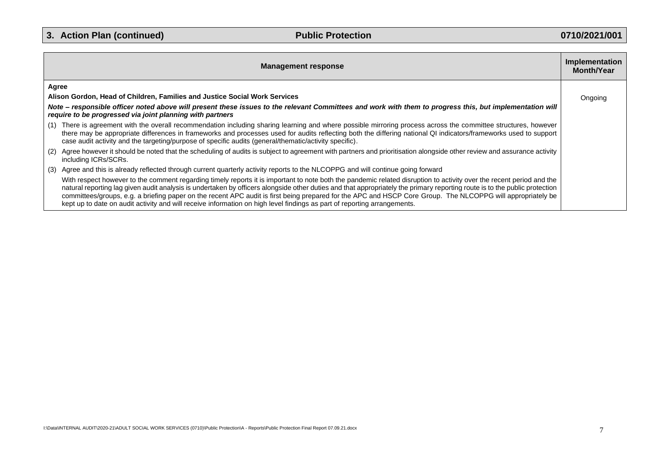|                                                                                                                                                                                                                       | <b>Management response</b>                                                                                                                                                                                                                                                                                                                                                                                                                                                                                                                                                                                                                    | Implementation<br>Month/Year |
|-----------------------------------------------------------------------------------------------------------------------------------------------------------------------------------------------------------------------|-----------------------------------------------------------------------------------------------------------------------------------------------------------------------------------------------------------------------------------------------------------------------------------------------------------------------------------------------------------------------------------------------------------------------------------------------------------------------------------------------------------------------------------------------------------------------------------------------------------------------------------------------|------------------------------|
| Agree                                                                                                                                                                                                                 |                                                                                                                                                                                                                                                                                                                                                                                                                                                                                                                                                                                                                                               |                              |
|                                                                                                                                                                                                                       | Alison Gordon, Head of Children, Families and Justice Social Work Services                                                                                                                                                                                                                                                                                                                                                                                                                                                                                                                                                                    | Ongoing                      |
| Note - responsible officer noted above will present these issues to the relevant Committees and work with them to progress this, but implementation will<br>require to be progressed via joint planning with partners |                                                                                                                                                                                                                                                                                                                                                                                                                                                                                                                                                                                                                                               |                              |
|                                                                                                                                                                                                                       | (1) There is agreement with the overall recommendation including sharing learning and where possible mirroring process across the committee structures, however<br>there may be appropriate differences in frameworks and processes used for audits reflecting both the differing national QI indicators/frameworks used to support<br>case audit activity and the targeting/purpose of specific audits (general/thematic/activity specific).                                                                                                                                                                                                 |                              |
|                                                                                                                                                                                                                       | (2) Agree however it should be noted that the scheduling of audits is subject to agreement with partners and prioritisation alongside other review and assurance activity<br>including ICRs/SCRs.                                                                                                                                                                                                                                                                                                                                                                                                                                             |                              |
|                                                                                                                                                                                                                       | (3) Agree and this is already reflected through current quarterly activity reports to the NLCOPPG and will continue going forward                                                                                                                                                                                                                                                                                                                                                                                                                                                                                                             |                              |
|                                                                                                                                                                                                                       | With respect however to the comment regarding timely reports it is important to note both the pandemic related disruption to activity over the recent period and the<br>natural reporting lag given audit analysis is undertaken by officers alongside other duties and that appropriately the primary reporting route is to the public protection<br>committees/groups, e.g. a briefing paper on the recent APC audit is first being prepared for the APC and HSCP Core Group. The NLCOPPG will appropriately be<br>kept up to date on audit activity and will receive information on high level findings as part of reporting arrangements. |                              |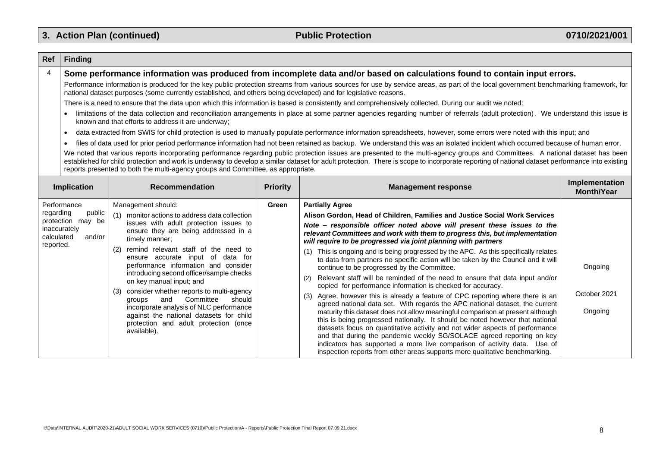| Ref                                  | <b>Finding</b>                                                                                                                                                                                                                                                                                                                                                                                                                                                                                                                                                                                                                                                                                                                                                                                                                                                                                                                                                                                                                                                                                                                                                                                                                                                                                                                                                                                                                                                                                                                                                                                                                                                                                |                                                                                                                                                                                                                                                                                                                                                                                                                                                                                                                                                                                                                    |                 |                                                                                                                                                                                                                                                                                                                                                                                                                                                                                                                                                                                                                                                                                                                                                                                                                                                                                                                                                                                                                                                                                                                                                                                                                                                                                                                                                                       |                                     |  |  |
|--------------------------------------|-----------------------------------------------------------------------------------------------------------------------------------------------------------------------------------------------------------------------------------------------------------------------------------------------------------------------------------------------------------------------------------------------------------------------------------------------------------------------------------------------------------------------------------------------------------------------------------------------------------------------------------------------------------------------------------------------------------------------------------------------------------------------------------------------------------------------------------------------------------------------------------------------------------------------------------------------------------------------------------------------------------------------------------------------------------------------------------------------------------------------------------------------------------------------------------------------------------------------------------------------------------------------------------------------------------------------------------------------------------------------------------------------------------------------------------------------------------------------------------------------------------------------------------------------------------------------------------------------------------------------------------------------------------------------------------------------|--------------------------------------------------------------------------------------------------------------------------------------------------------------------------------------------------------------------------------------------------------------------------------------------------------------------------------------------------------------------------------------------------------------------------------------------------------------------------------------------------------------------------------------------------------------------------------------------------------------------|-----------------|-----------------------------------------------------------------------------------------------------------------------------------------------------------------------------------------------------------------------------------------------------------------------------------------------------------------------------------------------------------------------------------------------------------------------------------------------------------------------------------------------------------------------------------------------------------------------------------------------------------------------------------------------------------------------------------------------------------------------------------------------------------------------------------------------------------------------------------------------------------------------------------------------------------------------------------------------------------------------------------------------------------------------------------------------------------------------------------------------------------------------------------------------------------------------------------------------------------------------------------------------------------------------------------------------------------------------------------------------------------------------|-------------------------------------|--|--|
| $\overline{4}$                       | Some performance information was produced from incomplete data and/or based on calculations found to contain input errors.<br>Performance information is produced for the key public protection streams from various sources for use by service areas, as part of the local government benchmarking framework, for<br>national dataset purposes (some currently established, and others being developed) and for legislative reasons.<br>There is a need to ensure that the data upon which this information is based is consistently and comprehensively collected. During our audit we noted:<br>limitations of the data collection and reconciliation arrangements in place at some partner agencies regarding number of referrals (adult protection). We understand this issue is<br>known and that efforts to address it are underway;<br>data extracted from SWIS for child protection is used to manually populate performance information spreadsheets, however, some errors were noted with this input; and<br>files of data used for prior period performance information had not been retained as backup. We understand this was an isolated incident which occurred because of human error.<br>$\bullet$<br>We noted that various reports incorporating performance regarding public protection issues are presented to the multi-agency groups and Committees. A national dataset has been<br>established for child protection and work is underway to develop a similar dataset for adult protection. There is scope to incorporate reporting of national dataset performance into existing<br>reports presented to both the multi-agency groups and Committee, as appropriate. |                                                                                                                                                                                                                                                                                                                                                                                                                                                                                                                                                                                                                    |                 |                                                                                                                                                                                                                                                                                                                                                                                                                                                                                                                                                                                                                                                                                                                                                                                                                                                                                                                                                                                                                                                                                                                                                                                                                                                                                                                                                                       |                                     |  |  |
|                                      | Implication                                                                                                                                                                                                                                                                                                                                                                                                                                                                                                                                                                                                                                                                                                                                                                                                                                                                                                                                                                                                                                                                                                                                                                                                                                                                                                                                                                                                                                                                                                                                                                                                                                                                                   | <b>Recommendation</b>                                                                                                                                                                                                                                                                                                                                                                                                                                                                                                                                                                                              | <b>Priority</b> | <b>Management response</b>                                                                                                                                                                                                                                                                                                                                                                                                                                                                                                                                                                                                                                                                                                                                                                                                                                                                                                                                                                                                                                                                                                                                                                                                                                                                                                                                            | Implementation<br><b>Month/Year</b> |  |  |
| regarding<br>calculated<br>reported. | Performance<br>public<br>protection may be<br>inaccurately<br>and/or                                                                                                                                                                                                                                                                                                                                                                                                                                                                                                                                                                                                                                                                                                                                                                                                                                                                                                                                                                                                                                                                                                                                                                                                                                                                                                                                                                                                                                                                                                                                                                                                                          | Management should:<br>(1) monitor actions to address data collection<br>issues with adult protection issues to<br>ensure they are being addressed in a<br>timely manner;<br>remind relevant staff of the need to<br>(2)<br>ensure accurate input of data for<br>performance information and consider<br>introducing second officer/sample checks<br>on key manual input; and<br>(3) consider whether reports to multi-agency<br>Committee<br>should<br>and<br>groups<br>incorporate analysis of NLC performance<br>against the national datasets for child<br>protection and adult protection (once<br>available). | Green           | <b>Partially Agree</b><br>Alison Gordon, Head of Children, Families and Justice Social Work Services<br>Note - responsible officer noted above will present these issues to the<br>relevant Committees and work with them to progress this, but implementation<br>will require to be progressed via joint planning with partners<br>(1) This is ongoing and is being progressed by the APC. As this specifically relates<br>to data from partners no specific action will be taken by the Council and it will<br>continue to be progressed by the Committee.<br>Relevant staff will be reminded of the need to ensure that data input and/or<br>copied for performance information is checked for accuracy.<br>(3) Agree, however this is already a feature of CPC reporting where there is an<br>agreed national data set. With regards the APC national dataset, the current<br>maturity this dataset does not allow meaningful comparison at present although<br>this is being progressed nationally. It should be noted however that national<br>datasets focus on quantitative activity and not wider aspects of performance<br>and that during the pandemic weekly SG/SOLACE agreed reporting on key<br>indicators has supported a more live comparison of activity data. Use of<br>inspection reports from other areas supports more qualitative benchmarking. | Ongoing<br>October 2021<br>Ongoing  |  |  |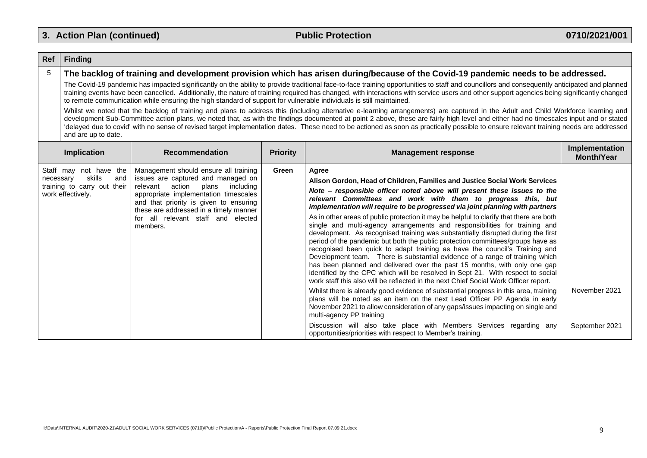$\overline{\phantom{a}}$ 

| Ref             | <b>Finding</b>                                                                                                                                                                                                                                                                                                                                                                                                                                                                                                                                                                                                                                                                                                                                                                                                                                                                                                                                                                                                                                                                                                                                                                                                                                         |                                                                                                                                                                                                                                                                                                        |                 |                                                                                                                                                                                                                                                                                                                                                                                                                                                                                                                                                                                                                                                                                                                                                                                                                                                                                                                                                                                                                                                                                                                                                                                                                                                                                                                                                                                                                                                                                                                  |                                     |  |
|-----------------|--------------------------------------------------------------------------------------------------------------------------------------------------------------------------------------------------------------------------------------------------------------------------------------------------------------------------------------------------------------------------------------------------------------------------------------------------------------------------------------------------------------------------------------------------------------------------------------------------------------------------------------------------------------------------------------------------------------------------------------------------------------------------------------------------------------------------------------------------------------------------------------------------------------------------------------------------------------------------------------------------------------------------------------------------------------------------------------------------------------------------------------------------------------------------------------------------------------------------------------------------------|--------------------------------------------------------------------------------------------------------------------------------------------------------------------------------------------------------------------------------------------------------------------------------------------------------|-----------------|------------------------------------------------------------------------------------------------------------------------------------------------------------------------------------------------------------------------------------------------------------------------------------------------------------------------------------------------------------------------------------------------------------------------------------------------------------------------------------------------------------------------------------------------------------------------------------------------------------------------------------------------------------------------------------------------------------------------------------------------------------------------------------------------------------------------------------------------------------------------------------------------------------------------------------------------------------------------------------------------------------------------------------------------------------------------------------------------------------------------------------------------------------------------------------------------------------------------------------------------------------------------------------------------------------------------------------------------------------------------------------------------------------------------------------------------------------------------------------------------------------------|-------------------------------------|--|
| $5\phantom{.0}$ | The backlog of training and development provision which has arisen during/because of the Covid-19 pandemic needs to be addressed.<br>The Covid-19 pandemic has impacted significantly on the ability to provide traditional face-to-face training opportunities to staff and councillors and consequently anticipated and planned<br>training events have been cancelled. Additionally, the nature of training required has changed, with interactions with service users and other support agencies being significantly changed<br>to remote communication while ensuring the high standard of support for vulnerable individuals is still maintained.<br>Whilst we noted that the backlog of training and plans to address this (including alternative e-learning arrangements) are captured in the Adult and Child Workforce learning and<br>development Sub-Committee action plans, we noted that, as with the findings documented at point 2 above, these are fairly high level and either had no timescales input and or stated<br>'delayed due to covid' with no sense of revised target implementation dates. These need to be actioned as soon as practically possible to ensure relevant training needs are addressed<br>and are up to date. |                                                                                                                                                                                                                                                                                                        |                 |                                                                                                                                                                                                                                                                                                                                                                                                                                                                                                                                                                                                                                                                                                                                                                                                                                                                                                                                                                                                                                                                                                                                                                                                                                                                                                                                                                                                                                                                                                                  |                                     |  |
|                 | <b>Implication</b>                                                                                                                                                                                                                                                                                                                                                                                                                                                                                                                                                                                                                                                                                                                                                                                                                                                                                                                                                                                                                                                                                                                                                                                                                                     | <b>Recommendation</b>                                                                                                                                                                                                                                                                                  | <b>Priority</b> | <b>Management response</b>                                                                                                                                                                                                                                                                                                                                                                                                                                                                                                                                                                                                                                                                                                                                                                                                                                                                                                                                                                                                                                                                                                                                                                                                                                                                                                                                                                                                                                                                                       | Implementation<br><b>Month/Year</b> |  |
| necessary       | Staff may not have the<br>skills<br>and<br>training to carry out their<br>work effectively.                                                                                                                                                                                                                                                                                                                                                                                                                                                                                                                                                                                                                                                                                                                                                                                                                                                                                                                                                                                                                                                                                                                                                            | Management should ensure all training<br>issues are captured and managed on<br>action<br>relevant<br>plans<br>including<br>appropriate implementation timescales<br>and that priority is given to ensuring<br>these are addressed in a timely manner<br>for all relevant staff and elected<br>members. | Green           | Agree<br>Alison Gordon, Head of Children, Families and Justice Social Work Services<br>Note – responsible officer noted above will present these issues to the<br>relevant Committees and work with them to progress this, but<br>implementation will require to be progressed via joint planning with partners<br>As in other areas of public protection it may be helpful to clarify that there are both<br>single and multi-agency arrangements and responsibilities for training and<br>development. As recognised training was substantially disrupted during the first<br>period of the pandemic but both the public protection committees/groups have as<br>recognised been quick to adapt training as have the council's Training and<br>Development team. There is substantial evidence of a range of training which<br>has been planned and delivered over the past 15 months, with only one gap<br>identified by the CPC which will be resolved in Sept 21. With respect to social<br>work staff this also will be reflected in the next Chief Social Work Officer report.<br>Whilst there is already good evidence of substantial progress in this area, training<br>plans will be noted as an item on the next Lead Officer PP Agenda in early<br>November 2021 to allow consideration of any gaps/issues impacting on single and<br>multi-agency PP training<br>Discussion will also take place with Members Services regarding any<br>opportunities/priorities with respect to Member's training. | November 2021<br>September 2021     |  |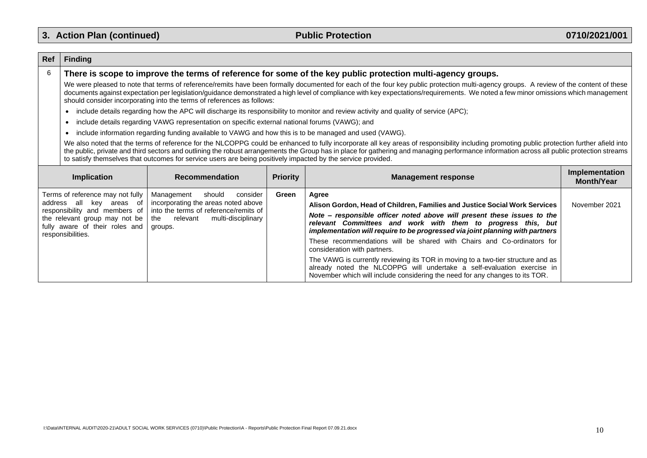#### **Ref Finding** 6 **There is scope to improve the terms of reference for some of the key public protection multi-agency groups.** We were pleased to note that terms of reference/remits have been formally documented for each of the four key public protection multi-agency groups. A review of the content of these documents against expectation per legislation/guidance demonstrated a high level of compliance with key expectations/requirements. We noted a few minor omissions which management should consider incorporating into the terms of references as follows: include details regarding how the APC will discharge its responsibility to monitor and review activity and quality of service (APC); • include details regarding VAWG representation on specific external national forums (VAWG); and • include information regarding funding available to VAWG and how this is to be managed and used (VAWG). We also noted that the terms of reference for the NLCOPPG could be enhanced to fully incorporate all key areas of responsibility including promoting public protection further afield into the public, private and third sectors and outlining the robust arrangements the Group has in place for gathering and managing performance information across all public protection streams to satisfy themselves that outcomes for service users are being positively impacted by the service provided. **Implication Recommendation Priority Management response Implementation Month/Year** Terms of reference may not fully address all key areas of responsibility and members of the relevant group may not be fully aware of their roles and responsibilities. Management should consider incorporating the areas noted above into the terms of reference/remits of<br>the relevant multi-disciplinary relevant multi-disciplinary groups. **Green Agree Alison Gordon, Head of Children, Families and Justice Social Work Services** *Note – responsible officer noted above will present these issues to the relevant Committees and work with them to progress this, but implementation will require to be progressed via joint planning with partners* These recommendations will be shared with Chairs and Co-ordinators for consideration with partners. The VAWG is currently reviewing its TOR in moving to a two-tier structure and as already noted the NLCOPPG will undertake a self-evaluation exercise in November which will include considering the need for any changes to its TOR. November 2021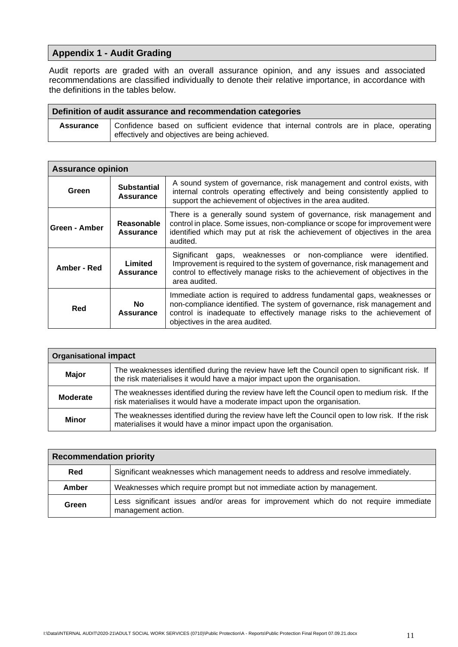# **Appendix 1 - Audit Grading**

Audit reports are graded with an overall assurance opinion, and any issues and associated recommendations are classified individually to denote their relative importance, in accordance with the definitions in the tables below.

| Definition of audit assurance and recommendation categories |                                                                                                                                          |  |  |  |  |  |  |
|-------------------------------------------------------------|------------------------------------------------------------------------------------------------------------------------------------------|--|--|--|--|--|--|
| Assurance                                                   | Confidence based on sufficient evidence that internal controls are in place, operating<br>effectively and objectives are being achieved. |  |  |  |  |  |  |

| <b>Assurance opinion</b> |                                        |                                                                                                                                                                                                                                                                   |  |  |
|--------------------------|----------------------------------------|-------------------------------------------------------------------------------------------------------------------------------------------------------------------------------------------------------------------------------------------------------------------|--|--|
| Green                    | <b>Substantial</b><br><b>Assurance</b> | A sound system of governance, risk management and control exists, with<br>internal controls operating effectively and being consistently applied to<br>support the achievement of objectives in the area audited.                                                 |  |  |
| Green - Amber            | Reasonable<br><b>Assurance</b>         | There is a generally sound system of governance, risk management and<br>control in place. Some issues, non-compliance or scope for improvement were<br>identified which may put at risk the achievement of objectives in the area<br>audited.                     |  |  |
| Amber - Red              | Limited<br><b>Assurance</b>            | gaps, weaknesses or non-compliance were identified.<br>Significant<br>Improvement is required to the system of governance, risk management and<br>control to effectively manage risks to the achievement of objectives in the<br>area audited.                    |  |  |
| Red                      | No.<br><b>Assurance</b>                | Immediate action is required to address fundamental gaps, weaknesses or<br>non-compliance identified. The system of governance, risk management and<br>control is inadequate to effectively manage risks to the achievement of<br>objectives in the area audited. |  |  |

| <b>Organisational impact</b> |                                                                                                                                                                             |  |  |  |
|------------------------------|-----------------------------------------------------------------------------------------------------------------------------------------------------------------------------|--|--|--|
| <b>Major</b>                 | The weaknesses identified during the review have left the Council open to significant risk. If<br>the risk materialises it would have a major impact upon the organisation. |  |  |  |
| Moderate                     | The weaknesses identified during the review have left the Council open to medium risk. If the<br>risk materialises it would have a moderate impact upon the organisation.   |  |  |  |
| <b>Minor</b>                 | The weaknesses identified during the review have left the Council open to low risk. If the risk<br>materialises it would have a minor impact upon the organisation.         |  |  |  |

| <b>Recommendation priority</b> |                                                                                                           |  |  |  |
|--------------------------------|-----------------------------------------------------------------------------------------------------------|--|--|--|
| Red                            | Significant weaknesses which management needs to address and resolve immediately.                         |  |  |  |
| Amber                          | Weaknesses which require prompt but not immediate action by management.                                   |  |  |  |
| Green                          | Less significant issues and/or areas for improvement which do not require immediate<br>management action. |  |  |  |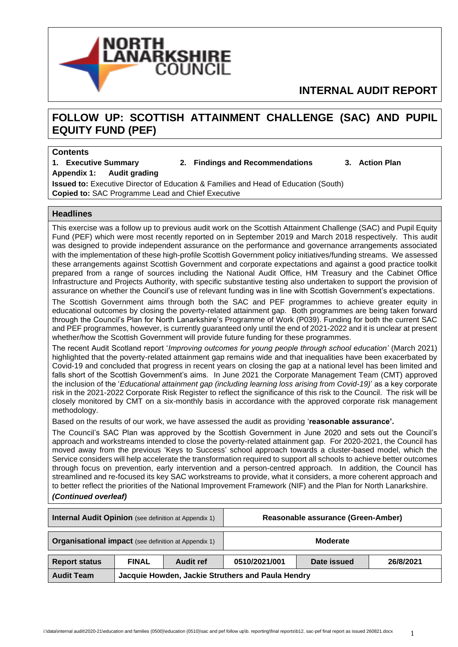

# **INTERNAL AUDIT REPORT**

# **FOLLOW UP: SCOTTISH ATTAINMENT CHALLENGE (SAC) AND PUPIL EQUITY FUND (PEF)**

#### **Contents**

**1. Executive Summary 2. Findings and Recommendations 3. Action Plan**

**Appendix 1: Audit grading**

**Issued to:** Executive Director of Education & Families and Head of Education (South) **Copied to:** SAC Programme Lead and Chief Executive

#### **Headlines**

This exercise was a follow up to previous audit work on the Scottish Attainment Challenge (SAC) and Pupil Equity Fund (PEF) which were most recently reported on in September 2019 and March 2018 respectively. This audit was designed to provide independent assurance on the performance and governance arrangements associated with the implementation of these high-profile Scottish Government policy initiatives/funding streams. We assessed these arrangements against Scottish Government and corporate expectations and against a good practice toolkit prepared from a range of sources including the National Audit Office, HM Treasury and the Cabinet Office Infrastructure and Projects Authority, with specific substantive testing also undertaken to support the provision of assurance on whether the Council's use of relevant funding was in line with Scottish Government's expectations.

The Scottish Government aims through both the SAC and PEF programmes to achieve greater equity in educational outcomes by closing the poverty-related attainment gap. Both programmes are being taken forward through the Council's Plan for North Lanarkshire's Programme of Work (P039). Funding for both the current SAC and PEF programmes, however, is currently guaranteed only until the end of 2021-2022 and it is unclear at present whether/how the Scottish Government will provide future funding for these programmes.

The recent Audit Scotland report '*Improving outcomes for young people through school education'* (March 2021) highlighted that the poverty-related attainment gap remains wide and that inequalities have been exacerbated by Covid-19 and concluded that progress in recent years on closing the gap at a national level has been limited and falls short of the Scottish Government's aims. In June 2021 the Corporate Management Team (CMT) approved the inclusion of the '*Educational attainment gap (including learning loss arising from Covid-19)*' as a key corporate risk in the 2021-2022 Corporate Risk Register to reflect the significance of this risk to the Council. The risk will be closely monitored by CMT on a six-monthly basis in accordance with the approved corporate risk management methodology.

Based on the results of our work, we have assessed the audit as providing '**reasonable assurance'.**

The Council's SAC Plan was approved by the Scottish Government in June 2020 and sets out the Council's approach and workstreams intended to close the poverty-related attainment gap. For 2020-2021, the Council has moved away from the previous 'Keys to Success' school approach towards a cluster-based model, which the Service considers will help accelerate the transformation required to support all schools to achieve better outcomes through focus on prevention, early intervention and a person-centred approach. In addition, the Council has streamlined and re-focused its key SAC workstreams to provide, what it considers, a more coherent approach and to better reflect the priorities of the National Improvement Framework (NIF) and the Plan for North Lanarkshire. *(Continued overleaf)*

| <b>Internal Audit Opinion</b> (see definition at Appendix 1)           |              |           |               | Reasonable assurance (Green-Amber) |           |
|------------------------------------------------------------------------|--------------|-----------|---------------|------------------------------------|-----------|
| <b>Organisational impact</b> (see definition at Appendix 1)            |              |           | Moderate      |                                    |           |
| <b>Report status</b>                                                   | <b>FINAL</b> | Audit ref | 0510/2021/001 | Date issued                        | 26/8/2021 |
| Jacquie Howden, Jackie Struthers and Paula Hendry<br><b>Audit Team</b> |              |           |               |                                    |           |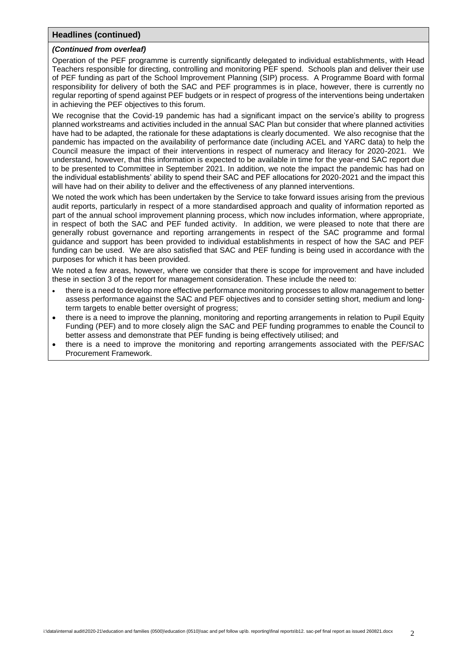#### **Headlines (continued)**

#### *(Continued from overleaf)*

Operation of the PEF programme is currently significantly delegated to individual establishments, with Head Teachers responsible for directing, controlling and monitoring PEF spend. Schools plan and deliver their use of PEF funding as part of the School Improvement Planning (SIP) process. A Programme Board with formal responsibility for delivery of both the SAC and PEF programmes is in place, however, there is currently no regular reporting of spend against PEF budgets or in respect of progress of the interventions being undertaken in achieving the PEF objectives to this forum.

We recognise that the Covid-19 pandemic has had a significant impact on the service's ability to progress planned workstreams and activities included in the annual SAC Plan but consider that where planned activities have had to be adapted, the rationale for these adaptations is clearly documented. We also recognise that the pandemic has impacted on the availability of performance date (including ACEL and YARC data) to help the Council measure the impact of their interventions in respect of numeracy and literacy for 2020-2021. We understand, however, that this information is expected to be available in time for the year-end SAC report due to be presented to Committee in September 2021. In addition, we note the impact the pandemic has had on the individual establishments' ability to spend their SAC and PEF allocations for 2020-2021 and the impact this will have had on their ability to deliver and the effectiveness of any planned interventions.

We noted the work which has been undertaken by the Service to take forward issues arising from the previous audit reports, particularly in respect of a more standardised approach and quality of information reported as part of the annual school improvement planning process, which now includes information, where appropriate, in respect of both the SAC and PEF funded activity. In addition, we were pleased to note that there are generally robust governance and reporting arrangements in respect of the SAC programme and formal guidance and support has been provided to individual establishments in respect of how the SAC and PEF funding can be used. We are also satisfied that SAC and PEF funding is being used in accordance with the purposes for which it has been provided.

We noted a few areas, however, where we consider that there is scope for improvement and have included these in section 3 of the report for management consideration. These include the need to:

- there is a need to develop more effective performance monitoring processes to allow management to better assess performance against the SAC and PEF objectives and to consider setting short, medium and longterm targets to enable better oversight of progress;
- there is a need to improve the planning, monitoring and reporting arrangements in relation to Pupil Equity Funding (PEF) and to more closely align the SAC and PEF funding programmes to enable the Council to better assess and demonstrate that PEF funding is being effectively utilised; and
- there is a need to improve the monitoring and reporting arrangements associated with the PEF/SAC Procurement Framework.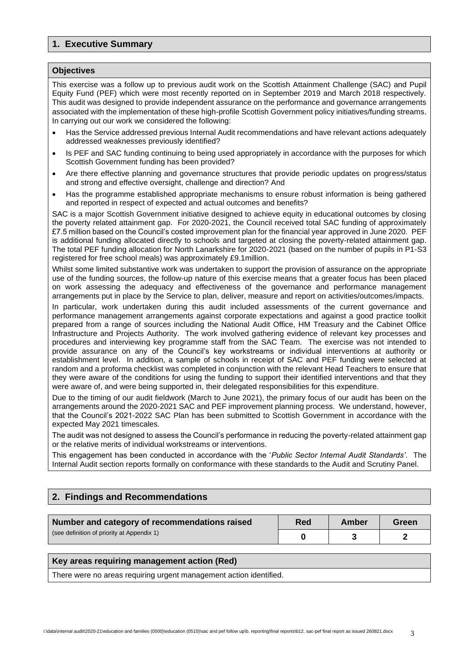# **1. Executive Summary**

#### **Objectives**

This exercise was a follow up to previous audit work on the Scottish Attainment Challenge (SAC) and Pupil Equity Fund (PEF) which were most recently reported on in September 2019 and March 2018 respectively. This audit was designed to provide independent assurance on the performance and governance arrangements associated with the implementation of these high-profile Scottish Government policy initiatives/funding streams. In carrying out our work we considered the following:

- Has the Service addressed previous Internal Audit recommendations and have relevant actions adequately addressed weaknesses previously identified?
- Is PEF and SAC funding continuing to being used appropriately in accordance with the purposes for which Scottish Government funding has been provided?
- Are there effective planning and governance structures that provide periodic updates on progress/status and strong and effective oversight, challenge and direction? And
- Has the programme established appropriate mechanisms to ensure robust information is being gathered and reported in respect of expected and actual outcomes and benefits?

SAC is a major Scottish Government initiative designed to achieve equity in educational outcomes by closing the poverty related attainment gap. For 2020-2021, the Council received total SAC funding of approximately £7.5 million based on the Council's costed improvement plan for the financial year approved in June 2020. PEF is additional funding allocated directly to schools and targeted at closing the poverty-related attainment gap. The total PEF funding allocation for North Lanarkshire for 2020-2021 (based on the number of pupils in P1-S3 registered for free school meals) was approximately £9.1million.

Whilst some limited substantive work was undertaken to support the provision of assurance on the appropriate use of the funding sources, the follow-up nature of this exercise means that a greater focus has been placed on work assessing the adequacy and effectiveness of the governance and performance management arrangements put in place by the Service to plan, deliver, measure and report on activities/outcomes/impacts.

In particular, work undertaken during this audit included assessments of the current governance and performance management arrangements against corporate expectations and against a good practice toolkit prepared from a range of sources including the National Audit Office, HM Treasury and the Cabinet Office Infrastructure and Projects Authority. The work involved gathering evidence of relevant key processes and procedures and interviewing key programme staff from the SAC Team. The exercise was not intended to provide assurance on any of the Council's key workstreams or individual interventions at authority or establishment level. In addition, a sample of schools in receipt of SAC and PEF funding were selected at random and a proforma checklist was completed in conjunction with the relevant Head Teachers to ensure that they were aware of the conditions for using the funding to support their identified interventions and that they were aware of, and were being supported in, their delegated responsibilities for this expenditure.

Due to the timing of our audit fieldwork (March to June 2021), the primary focus of our audit has been on the arrangements around the 2020-2021 SAC and PEF improvement planning process. We understand, however, that the Council's 2021-2022 SAC Plan has been submitted to Scottish Government in accordance with the expected May 2021 timescales.

The audit was not designed to assess the Council's performance in reducing the poverty-related attainment gap or the relative merits of individual workstreams or interventions.

This engagement has been conducted in accordance with the '*Public Sector Internal Audit Standards'*. The Internal Audit section reports formally on conformance with these standards to the Audit and Scrutiny Panel.

## **2. Findings and Recommendations**

| Number and category of recommendations raised | Red | Amber | Green |
|-----------------------------------------------|-----|-------|-------|
| (see definition of priority at Appendix 1)    |     |       |       |

#### **Key areas requiring management action (Red)**

There were no areas requiring urgent management action identified.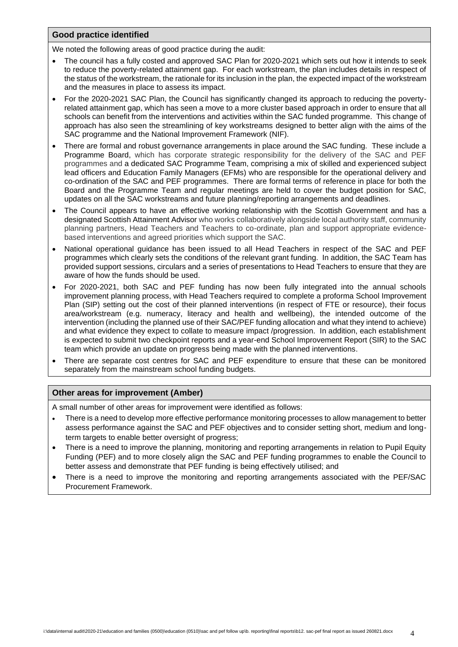#### **Good practice identified**

We noted the following areas of good practice during the audit:

- The council has a fully costed and approved SAC Plan for 2020-2021 which sets out how it intends to seek to reduce the poverty-related attainment gap. For each workstream, the plan includes details in respect of the status of the workstream, the rationale for its inclusion in the plan, the expected impact of the workstream and the measures in place to assess its impact.
- For the 2020-2021 SAC Plan, the Council has significantly changed its approach to reducing the povertyrelated attainment gap, which has seen a move to a more cluster based approach in order to ensure that all schools can benefit from the interventions and activities within the SAC funded programme. This change of approach has also seen the streamlining of key workstreams designed to better align with the aims of the SAC programme and the National Improvement Framework (NIF).
- There are formal and robust governance arrangements in place around the SAC funding. These include a Programme Board, which has corporate strategic responsibility for the delivery of the SAC and PEF programmes and a dedicated SAC Programme Team, comprising a mix of skilled and experienced subject lead officers and Education Family Managers (EFMs) who are responsible for the operational delivery and co-ordination of the SAC and PEF programmes. There are formal terms of reference in place for both the Board and the Programme Team and regular meetings are held to cover the budget position for SAC, updates on all the SAC workstreams and future planning/reporting arrangements and deadlines.
- The Council appears to have an effective working relationship with the Scottish Government and has a designated Scottish Attainment Advisor who works collaboratively alongside local authority staff, community planning partners, Head Teachers and Teachers to co-ordinate, plan and support appropriate evidencebased interventions and agreed priorities which support the SAC.
- National operational guidance has been issued to all Head Teachers in respect of the SAC and PEF programmes which clearly sets the conditions of the relevant grant funding. In addition, the SAC Team has provided support sessions, circulars and a series of presentations to Head Teachers to ensure that they are aware of how the funds should be used.
- For 2020-2021, both SAC and PEF funding has now been fully integrated into the annual schools improvement planning process, with Head Teachers required to complete a proforma School Improvement Plan (SIP) setting out the cost of their planned interventions (in respect of FTE or resource), their focus area/workstream (e.g. numeracy, literacy and health and wellbeing), the intended outcome of the intervention (including the planned use of their SAC/PEF funding allocation and what they intend to achieve) and what evidence they expect to collate to measure impact /progression. In addition, each establishment is expected to submit two checkpoint reports and a year-end School Improvement Report (SIR) to the SAC team which provide an update on progress being made with the planned interventions.
- There are separate cost centres for SAC and PEF expenditure to ensure that these can be monitored separately from the mainstream school funding budgets.

#### **Other areas for improvement (Amber)**

A small number of other areas for improvement were identified as follows:

- There is a need to develop more effective performance monitoring processes to allow management to better assess performance against the SAC and PEF objectives and to consider setting short, medium and longterm targets to enable better oversight of progress;
- There is a need to improve the planning, monitoring and reporting arrangements in relation to Pupil Equity Funding (PEF) and to more closely align the SAC and PEF funding programmes to enable the Council to better assess and demonstrate that PEF funding is being effectively utilised; and
- There is a need to improve the monitoring and reporting arrangements associated with the PEF/SAC Procurement Framework.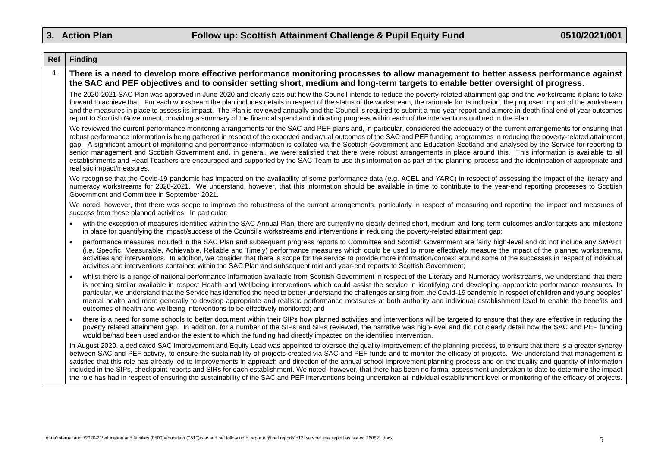| Ref          | <b>Finding</b>                                                                                                                                                                                                                                                                                                                                                                                                                                                                                                                                                                                                                                                                                                                                                                                                                                                                                                                                         |
|--------------|--------------------------------------------------------------------------------------------------------------------------------------------------------------------------------------------------------------------------------------------------------------------------------------------------------------------------------------------------------------------------------------------------------------------------------------------------------------------------------------------------------------------------------------------------------------------------------------------------------------------------------------------------------------------------------------------------------------------------------------------------------------------------------------------------------------------------------------------------------------------------------------------------------------------------------------------------------|
| $\mathbf{1}$ | There is a need to develop more effective performance monitoring processes to allow management to better assess performance against<br>the SAC and PEF objectives and to consider setting short, medium and long-term targets to enable better oversight of progress.                                                                                                                                                                                                                                                                                                                                                                                                                                                                                                                                                                                                                                                                                  |
|              | The 2020-2021 SAC Plan was approved in June 2020 and clearly sets out how the Council intends to reduce the poverty-related attainment gap and the workstreams it plans to take<br>forward to achieve that. For each workstream the plan includes details in respect of the status of the workstream, the rationale for its inclusion, the proposed impact of the workstream<br>and the measures in place to assess its impact. The Plan is reviewed annually and the Council is required to submit a mid-year report and a more in-depth final end of year outcomes<br>report to Scottish Government, providing a summary of the financial spend and indicating progress within each of the interventions outlined in the Plan.                                                                                                                                                                                                                       |
|              | We reviewed the current performance monitoring arrangements for the SAC and PEF plans and, in particular, considered the adequacy of the current arrangements for ensuring that<br>robust performance information is being gathered in respect of the expected and actual outcomes of the SAC and PEF funding programmes in reducing the poverty-related attainment<br>gap. A significant amount of monitoring and performance information is collated via the Scottish Government and Education Scotland and analysed by the Service for reporting to<br>senior management and Scottish Government and, in general, we were satisfied that there were robust arrangements in place around this. This information is available to all<br>establishments and Head Teachers are encouraged and supported by the SAC Team to use this information as part of the planning process and the identification of appropriate and<br>realistic impact/measures. |
|              | We recognise that the Covid-19 pandemic has impacted on the availability of some performance data (e.g. ACEL and YARC) in respect of assessing the impact of the literacy and<br>numeracy workstreams for 2020-2021. We understand, however, that this information should be available in time to contribute to the year-end reporting processes to Scottish<br>Government and Committee in September 2021.                                                                                                                                                                                                                                                                                                                                                                                                                                                                                                                                            |
|              | We noted, however, that there was scope to improve the robustness of the current arrangements, particularly in respect of measuring and reporting the impact and measures of<br>success from these planned activities. In particular:                                                                                                                                                                                                                                                                                                                                                                                                                                                                                                                                                                                                                                                                                                                  |
|              | with the exception of measures identified within the SAC Annual Plan, there are currently no clearly defined short, medium and long-term outcomes and/or targets and milestone<br>in place for quantifying the impact/success of the Council's workstreams and interventions in reducing the poverty-related attainment gap;                                                                                                                                                                                                                                                                                                                                                                                                                                                                                                                                                                                                                           |
|              | performance measures included in the SAC Plan and subsequent progress reports to Committee and Scottish Government are fairly high-level and do not include any SMART<br>(i.e. Specific, Measurable, Achievable, Reliable and Timely) performance measures which could be used to more effectively measure the impact of the planned workstreams,<br>activities and interventions. In addition, we consider that there is scope for the service to provide more information/context around some of the successes in respect of individual<br>activities and interventions contained within the SAC Plan and subsequent mid and year-end reports to Scottish Government;                                                                                                                                                                                                                                                                                |
|              | whilst there is a range of national performance information available from Scottish Government in respect of the Literacy and Numeracy workstreams, we understand that there<br>is nothing similar available in respect Health and Wellbeing interventions which could assist the service in identifying and developing appropriate performance measures. In<br>particular, we understand that the Service has identified the need to better understand the challenges arising from the Covid-19 pandemic in respect of children and young peoples'<br>mental health and more generally to develop appropriate and realistic performance measures at both authority and individual establishment level to enable the benefits and<br>outcomes of health and wellbeing interventions to be effectively monitored; and                                                                                                                                   |
|              | there is a need for some schools to better document within their SIPs how planned activities and interventions will be targeted to ensure that they are effective in reducing the<br>poverty related attainment gap. In addition, for a number of the SIPs and SIRs reviewed, the narrative was high-level and did not clearly detail how the SAC and PEF funding<br>would be/had been used and/or the extent to which the funding had directly impacted on the identified intervention.                                                                                                                                                                                                                                                                                                                                                                                                                                                               |
|              | In August 2020, a dedicated SAC Improvement and Equity Lead was appointed to oversee the quality improvement of the planning process, to ensure that there is a greater synergy<br>between SAC and PEF activity, to ensure the sustainability of projects created via SAC and PEF funds and to monitor the efficacy of projects. We understand that management is<br>satisfied that this role has already led to improvements in approach and direction of the annual school improvement planning process and on the quality and quantity of information<br>included in the SIPs, checkpoint reports and SIRs for each establishment. We noted, however, that there has been no formal assessment undertaken to date to determine the impact<br>the role has had in respect of ensuring the sustainability of the SAC and PEF interventions being undertaken at individual establishment level or monitoring of the efficacy of projects.              |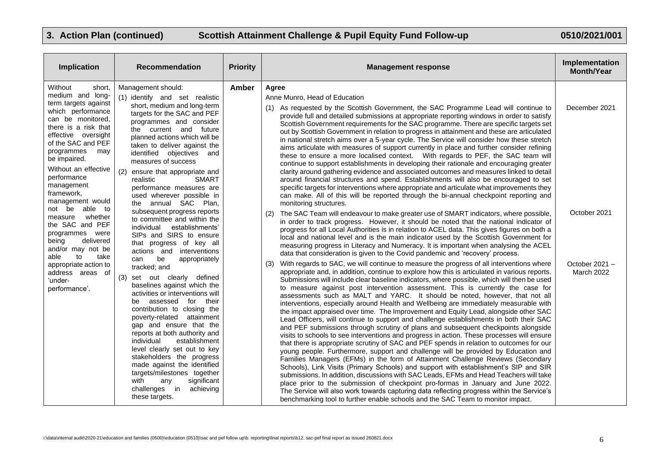| Implication                                                                                                                                                                                                                                                                          | <b>Recommendation</b>                                                                                                                                                                                                                                                                                                                                                                                                                                                                        | <b>Priority</b>                                                                                                                                                                                                                                                                                                                                                                                                                                                                                                                                                                                                                                                                                                                                                                                                                                                                                                                                                                                                                                                                                                                                                                                                                                                                                                                                                                                                                                                                                                                                            | <b>Management response</b>                                                                                                                                                                                                                                                                                                                                                                                                                                                                                                                                                                                                                                                                                                                                                                                                                                                                                                                                                                                                                                                   | Implementation<br><b>Month/Year</b> |
|--------------------------------------------------------------------------------------------------------------------------------------------------------------------------------------------------------------------------------------------------------------------------------------|----------------------------------------------------------------------------------------------------------------------------------------------------------------------------------------------------------------------------------------------------------------------------------------------------------------------------------------------------------------------------------------------------------------------------------------------------------------------------------------------|------------------------------------------------------------------------------------------------------------------------------------------------------------------------------------------------------------------------------------------------------------------------------------------------------------------------------------------------------------------------------------------------------------------------------------------------------------------------------------------------------------------------------------------------------------------------------------------------------------------------------------------------------------------------------------------------------------------------------------------------------------------------------------------------------------------------------------------------------------------------------------------------------------------------------------------------------------------------------------------------------------------------------------------------------------------------------------------------------------------------------------------------------------------------------------------------------------------------------------------------------------------------------------------------------------------------------------------------------------------------------------------------------------------------------------------------------------------------------------------------------------------------------------------------------------|------------------------------------------------------------------------------------------------------------------------------------------------------------------------------------------------------------------------------------------------------------------------------------------------------------------------------------------------------------------------------------------------------------------------------------------------------------------------------------------------------------------------------------------------------------------------------------------------------------------------------------------------------------------------------------------------------------------------------------------------------------------------------------------------------------------------------------------------------------------------------------------------------------------------------------------------------------------------------------------------------------------------------------------------------------------------------|-------------------------------------|
| Without<br>short,<br>medium and long-<br>term targets against<br>which performance<br>can be monitored,<br>there is a risk that<br>effective oversight<br>of the SAC and PEF<br>programmes<br>may<br>be impaired.<br>Without an effective<br>performance<br>management<br>framework, | Management should:<br>(1) identify and set realistic<br>short, medium and long-term<br>targets for the SAC and PEF<br>programmes and consider<br>the current and future<br>planned actions which will be<br>taken to deliver against the<br>identified objectives<br>and<br>measures of success<br>(2) ensure that appropriate and<br><b>SMART</b><br>realistic<br>performance measures are                                                                                                  | Amber                                                                                                                                                                                                                                                                                                                                                                                                                                                                                                                                                                                                                                                                                                                                                                                                                                                                                                                                                                                                                                                                                                                                                                                                                                                                                                                                                                                                                                                                                                                                                      | Agree<br>Anne Munro, Head of Education<br>As requested by the Scottish Government, the SAC Programme Lead will continue to<br>provide full and detailed submissions at appropriate reporting windows in order to satisfy<br>Scottish Government requirements for the SAC programme. There are specific targets set<br>out by Scottish Government in relation to progress in attainment and these are articulated<br>in national stretch aims over a 5-year cycle. The Service will consider how these stretch<br>aims articulate with measures of support currently in place and further consider refining<br>these to ensure a more localised context.  With regards to PEF, the SAC team will<br>continue to support establishments in developing their rationale and encouraging greater<br>clarity around gathering evidence and associated outcomes and measures linked to detail<br>around financial structures and spend. Establishments will also be encouraged to set<br>specific targets for interventions where appropriate and articulate what improvements they | December 2021                       |
| management would<br>not be able to<br>whether<br>measure<br>the SAC and PEF<br>programmes were<br>being<br>delivered<br>and/or may not be<br>able<br>to<br>take<br>appropriate action to                                                                                             | used wherever possible in<br>the annual SAC Plan,<br>subsequent progress reports<br>to committee and within the<br>individual<br>establishments'<br>SIPs and SIRS to ensure<br>that progress of key all<br>actions and interventions<br>be<br>appropriately<br>can                                                                                                                                                                                                                           |                                                                                                                                                                                                                                                                                                                                                                                                                                                                                                                                                                                                                                                                                                                                                                                                                                                                                                                                                                                                                                                                                                                                                                                                                                                                                                                                                                                                                                                                                                                                                            | can make. All of this will be reported through the bi-annual checkpoint reporting and<br>monitoring structures.<br>The SAC Team will endeavour to make greater use of SMART indicators, where possible,<br>(2)<br>in order to track progress. However, it should be noted that the national indicator of<br>progress for all Local Authorities is in relation to ACEL data. This gives figures on both a<br>local and national level and is the main indicator used by the Scottish Government for<br>measuring progress in Literacy and Numeracy. It is important when analysing the ACEL<br>data that consideration is given to the Covid pandemic and 'recovery' process.<br>With regards to SAC, we will continue to measure the progress of all interventions where<br>(3)                                                                                                                                                                                                                                                                                              | October 2021<br>October 2021-       |
| address areas of<br>'under-<br>performance'.                                                                                                                                                                                                                                         | tracked; and<br>(3) set out clearly defined<br>baselines against which the<br>activities or interventions will<br>for their<br>assessed<br>be<br>contribution to closing the<br>poverty-related attainment<br>gap and ensure that the<br>reports at both authority and<br>individual<br>establishment<br>level clearly set out to key<br>stakeholders the progress<br>made against the identified<br>targets/milestones together<br>with<br>significant<br>any<br>challenges in<br>achieving | appropriate and, in addition, continue to explore how this is articulated in various reports.<br>Submissions will include clear baseline indicators, where possible, which will then be used<br>to measure against post intervention assessment. This is currently the case for<br>assessments such as MALT and YARC. It should be noted, however, that not all<br>interventions, especially around Health and Wellbeing are immediately measurable with<br>the impact appraised over time. The Improvement and Equity Lead, alongside other SAC<br>Lead Officers, will continue to support and challenge establishments in both their SAC<br>and PEF submissions through scrutiny of plans and subsequent checkpoints alongside<br>visits to schools to see interventions and progress in action. These processes will ensure<br>that there is appropriate scrutiny of SAC and PEF spends in relation to outcomes for our<br>young people. Furthermore, support and challenge will be provided by Education and<br>Families Managers (EFMs) in the form of Attainment Challenge Reviews (Secondary<br>Schools), Link Visits (Primary Schools) and support with establishment's SIP and SIR<br>submissions. In addition, discussions with SAC Leads, EFMs and Head Teachers will take<br>place prior to the submission of checkpoint pro-formas in January and June 2022.<br>The Service will also work towards capturing data reflecting progress within the Service's<br>benchmarking tool to further enable schools and the SAC Team to monitor impact. | March 2022                                                                                                                                                                                                                                                                                                                                                                                                                                                                                                                                                                                                                                                                                                                                                                                                                                                                                                                                                                                                                                                                   |                                     |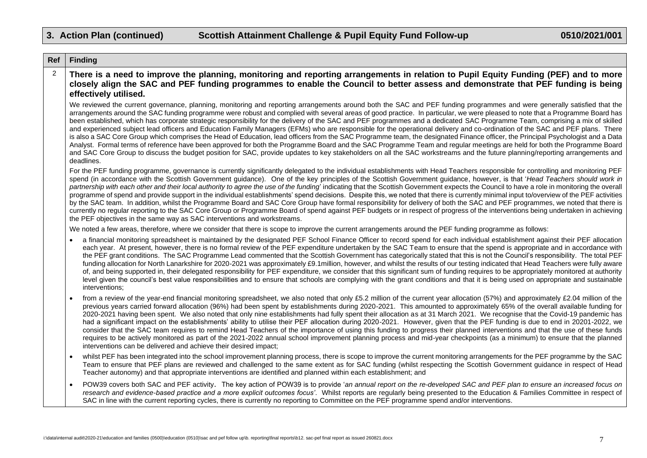| Ref            | <b>Finding</b>                                                                                                                                                                                                                                                                                                                                                                                                                                                                                                                                                                                                                                                                                                                                                                                                                                                                                                                                                                                                                                                                                                                                                                                                                                                                            |
|----------------|-------------------------------------------------------------------------------------------------------------------------------------------------------------------------------------------------------------------------------------------------------------------------------------------------------------------------------------------------------------------------------------------------------------------------------------------------------------------------------------------------------------------------------------------------------------------------------------------------------------------------------------------------------------------------------------------------------------------------------------------------------------------------------------------------------------------------------------------------------------------------------------------------------------------------------------------------------------------------------------------------------------------------------------------------------------------------------------------------------------------------------------------------------------------------------------------------------------------------------------------------------------------------------------------|
| $\overline{2}$ | There is a need to improve the planning, monitoring and reporting arrangements in relation to Pupil Equity Funding (PEF) and to more<br>closely align the SAC and PEF funding programmes to enable the Council to better assess and demonstrate that PEF funding is being<br>effectively utilised.                                                                                                                                                                                                                                                                                                                                                                                                                                                                                                                                                                                                                                                                                                                                                                                                                                                                                                                                                                                        |
|                | We reviewed the current governance, planning, monitoring and reporting arrangements around both the SAC and PEF funding programmes and were generally satisfied that the<br>arrangements around the SAC funding programme were robust and complied with several areas of good practice. In particular, we were pleased to note that a Programme Board has<br>been established, which has corporate strategic responsibility for the delivery of the SAC and PEF programmes and a dedicated SAC Programme Team, comprising a mix of skilled<br>and experienced subject lead officers and Education Family Managers (EFMs) who are responsible for the operational delivery and co-ordination of the SAC and PEF plans. There<br>is also a SAC Core Group which comprises the Head of Education, lead officers from the SAC Programme team, the designated Finance officer, the Principal Psychologist and a Data<br>Analyst. Formal terms of reference have been approved for both the Programme Board and the SAC Programme Team and regular meetings are held for both the Programme Board<br>and SAC Core Group to discuss the budget position for SAC, provide updates to key stakeholders on all the SAC workstreams and the future planning/reporting arrangements and<br>deadlines. |
|                | For the PEF funding programme, governance is currently significantly delegated to the individual establishments with Head Teachers responsible for controlling and monitoring PEF<br>spend (in accordance with the Scottish Government guidance). One of the key principles of the Scottish Government guidance, however, is that 'Head Teachers should work in<br>partnership with each other and their local authority to agree the use of the funding' indicating that the Scottish Government expects the Council to have a role in monitoring the overall<br>programme of spend and provide support in the individual establishments' spend decisions. Despite this, we noted that there is currently minimal input to/overview of the PEF activities<br>by the SAC team. In addition, whilst the Programme Board and SAC Core Group have formal responsibility for delivery of both the SAC and PEF programmes, we noted that there is<br>currently no regular reporting to the SAC Core Group or Programme Board of spend against PEF budgets or in respect of progress of the interventions being undertaken in achieving<br>the PEF objectives in the same way as SAC interventions and workstreams.                                                                             |
|                | We noted a few areas, therefore, where we consider that there is scope to improve the current arrangements around the PEF funding programme as follows:                                                                                                                                                                                                                                                                                                                                                                                                                                                                                                                                                                                                                                                                                                                                                                                                                                                                                                                                                                                                                                                                                                                                   |
|                | a financial monitoring spreadsheet is maintained by the designated PEF School Finance Officer to record spend for each individual establishment against their PEF allocation<br>each year. At present, however, there is no formal review of the PEF expenditure undertaken by the SAC Team to ensure that the spend is appropriate and in accordance with<br>the PEF grant conditions. The SAC Programme Lead commented that the Scottish Government has categorically stated that this is not the Council's responsibility. The total PEF<br>funding allocation for North Lanarkshire for 2020-2021 was approximately £9.1million, however, and whilst the results of our testing indicated that Head Teachers were fully aware<br>of, and being supported in, their delegated responsibility for PEF expenditure, we consider that this significant sum of funding requires to be appropriately monitored at authority<br>level given the council's best value responsibilities and to ensure that schools are complying with the grant conditions and that it is being used on appropriate and sustainable<br>interventions;                                                                                                                                                          |
|                | from a review of the year-end financial monitoring spreadsheet, we also noted that only £5.2 million of the current year allocation (57%) and approximately £2.04 million of the<br>previous years carried forward allocation (96%) had been spent by establishments during 2020-2021. This amounted to approximately 65% of the overall available funding for<br>2020-2021 having been spent. We also noted that only nine establishments had fully spent their allocation as at 31 March 2021. We recognise that the Covid-19 pandemic has<br>had a significant impact on the establishments' ability to utilise their PEF allocation during 2020-2021. However, given that the PEF funding is due to end in 20201-2022, we<br>consider that the SAC team requires to remind Head Teachers of the importance of using this funding to progress their planned interventions and that the use of these funds<br>requires to be actively monitored as part of the 2021-2022 annual school improvement planning process and mid-year checkpoints (as a minimum) to ensure that the planned<br>interventions can be delivered and achieve their desired impact;                                                                                                                              |
|                | whilst PEF has been integrated into the school improvement planning process, there is scope to improve the current monitoring arrangements for the PEF programme by the SAC<br>$\bullet$<br>Team to ensure that PEF plans are reviewed and challenged to the same extent as for SAC funding (whilst respecting the Scottish Government guidance in respect of Head<br>Teacher autonomy) and that appropriate interventions are identified and planned within each establishment; and                                                                                                                                                                                                                                                                                                                                                                                                                                                                                                                                                                                                                                                                                                                                                                                                      |
|                | POW39 covers both SAC and PEF activity. The key action of POW39 is to provide 'an annual report on the re-developed SAC and PEF plan to ensure an increased focus on<br>research and evidence-based practice and a more explicit outcomes focus'. Whilst reports are regularly being presented to the Education & Families Committee in respect of<br>SAC in line with the current reporting cycles, there is currently no reporting to Committee on the PEF programme spend and/or interventions.                                                                                                                                                                                                                                                                                                                                                                                                                                                                                                                                                                                                                                                                                                                                                                                        |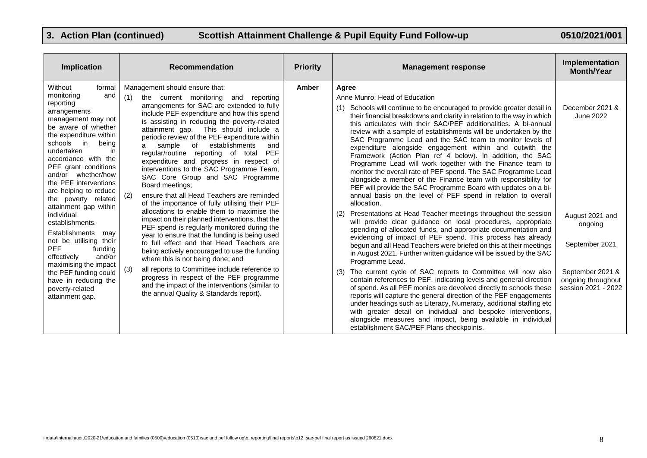| Implication                                                                                                                                                                                                                                                                                                                                                                                                                                                                                                                                                                                                         | <b>Recommendation</b>                                                                                                                                                                                                                                                                                                                                                                                                                                                                                                                                                                                                                                                                                                                                                                                                                                                                                                                                                                                                                                                                                                                                                                                          |       | <b>Management response</b>                                                                                                                                                                                                                                                                                                                                                                                                                                                                                                                                                                                                                                                                                                                                                                                                                                                                                                                                                                                                                                                                                                                                                                                                                                                                                                                                                                                                                                                                                                                                                                                                                                                                                                                                                                                                                            | Implementation<br><b>Month/Year</b>                                                                                                           |
|---------------------------------------------------------------------------------------------------------------------------------------------------------------------------------------------------------------------------------------------------------------------------------------------------------------------------------------------------------------------------------------------------------------------------------------------------------------------------------------------------------------------------------------------------------------------------------------------------------------------|----------------------------------------------------------------------------------------------------------------------------------------------------------------------------------------------------------------------------------------------------------------------------------------------------------------------------------------------------------------------------------------------------------------------------------------------------------------------------------------------------------------------------------------------------------------------------------------------------------------------------------------------------------------------------------------------------------------------------------------------------------------------------------------------------------------------------------------------------------------------------------------------------------------------------------------------------------------------------------------------------------------------------------------------------------------------------------------------------------------------------------------------------------------------------------------------------------------|-------|-------------------------------------------------------------------------------------------------------------------------------------------------------------------------------------------------------------------------------------------------------------------------------------------------------------------------------------------------------------------------------------------------------------------------------------------------------------------------------------------------------------------------------------------------------------------------------------------------------------------------------------------------------------------------------------------------------------------------------------------------------------------------------------------------------------------------------------------------------------------------------------------------------------------------------------------------------------------------------------------------------------------------------------------------------------------------------------------------------------------------------------------------------------------------------------------------------------------------------------------------------------------------------------------------------------------------------------------------------------------------------------------------------------------------------------------------------------------------------------------------------------------------------------------------------------------------------------------------------------------------------------------------------------------------------------------------------------------------------------------------------------------------------------------------------------------------------------------------------|-----------------------------------------------------------------------------------------------------------------------------------------------|
| Without<br>formal<br>and<br>monitoring<br>reporting<br>arrangements<br>management may not<br>be aware of whether<br>the expenditure within<br>schools in<br>being<br>undertaken<br>in.<br>accordance with the<br>PEF grant conditions<br>and/or whether/how<br>the PEF interventions<br>are helping to reduce<br>the poverty related<br>attainment gap within<br>individual<br>establishments.<br>Establishments<br>may<br>not be utilising their<br><b>PEF</b><br>funding<br>and/or<br>effectively<br>maximising the impact<br>the PEF funding could<br>have in reducing the<br>poverty-related<br>attainment gap. | Management should ensure that:<br>(1)<br>the current monitoring and reporting<br>arrangements for SAC are extended to fully<br>include PEF expenditure and how this spend<br>is assisting in reducing the poverty-related<br>attainment gap. This should include a<br>periodic review of the PEF expenditure within<br>sample<br>of<br>establishments<br>and<br>a<br>regular/routine reporting of total<br><b>PEF</b><br>expenditure and progress in respect of<br>interventions to the SAC Programme Team,<br>SAC Core Group and SAC Programme<br>Board meetings:<br>ensure that all Head Teachers are reminded<br>(2)<br>of the importance of fully utilising their PEF<br>allocations to enable them to maximise the<br>impact on their planned interventions, that the<br>PEF spend is regularly monitored during the<br>year to ensure that the funding is being used<br>to full effect and that Head Teachers are<br>being actively encouraged to use the funding<br>where this is not being done; and<br>(3)<br>all reports to Committee include reference to<br>progress in respect of the PEF programme<br>and the impact of the interventions (similar to<br>the annual Quality & Standards report). | Amber | Agree<br>Anne Munro, Head of Education<br>(1) Schools will continue to be encouraged to provide greater detail in<br>their financial breakdowns and clarity in relation to the way in which<br>this articulates with their SAC/PEF additionalities. A bi-annual<br>review with a sample of establishments will be undertaken by the<br>SAC Programme Lead and the SAC team to monitor levels of<br>expenditure alongside engagement within and outwith the<br>Framework (Action Plan ref 4 below). In addition, the SAC<br>Programme Lead will work together with the Finance team to<br>monitor the overall rate of PEF spend. The SAC Programme Lead<br>alongside a member of the Finance team with responsibility for<br>PEF will provide the SAC Programme Board with updates on a bi-<br>annual basis on the level of PEF spend in relation to overall<br>allocation.<br>(2) Presentations at Head Teacher meetings throughout the session<br>will provide clear guidance on local procedures, appropriate<br>spending of allocated funds, and appropriate documentation and<br>evidencing of impact of PEF spend. This process has already<br>begun and all Head Teachers were briefed on this at their meetings<br>in August 2021. Further written guidance will be issued by the SAC<br>Programme Lead.<br>(3) The current cycle of SAC reports to Committee will now also<br>contain references to PEF, indicating levels and general direction<br>of spend. As all PEF monies are devolved directly to schools these<br>reports will capture the general direction of the PEF engagements<br>under headings such as Literacy, Numeracy, additional staffing etc<br>with greater detail on individual and bespoke interventions,<br>alongside measures and impact, being available in individual<br>establishment SAC/PEF Plans checkpoints. | December 2021 &<br>June 2022<br>August 2021 and<br>ongoing<br>September 2021<br>September 2021 &<br>ongoing throughout<br>session 2021 - 2022 |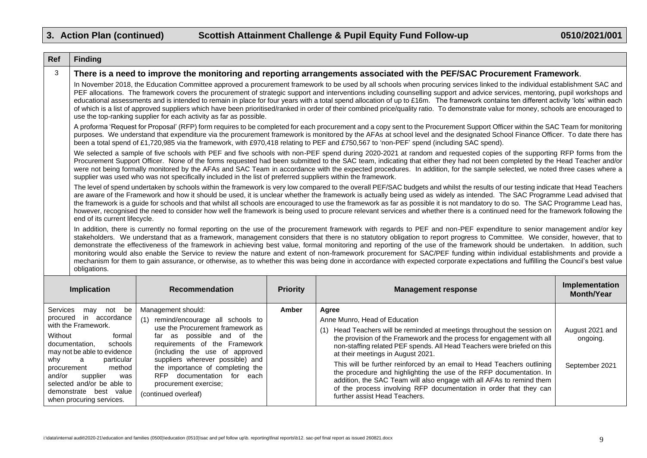| <b>Ref</b>           | <b>Finding</b>                                                                                                                                                                                                                                                                                                                                                                                                                                                                                                                                                                                                                                                                                                                                                                                                          |                                                           |                 |                                                                                                                                                                                                                                                                                                                                                                                                                                                                                                                                                                                                                                                                                                                                                                                                                                                                                                      |                                     |
|----------------------|-------------------------------------------------------------------------------------------------------------------------------------------------------------------------------------------------------------------------------------------------------------------------------------------------------------------------------------------------------------------------------------------------------------------------------------------------------------------------------------------------------------------------------------------------------------------------------------------------------------------------------------------------------------------------------------------------------------------------------------------------------------------------------------------------------------------------|-----------------------------------------------------------|-----------------|------------------------------------------------------------------------------------------------------------------------------------------------------------------------------------------------------------------------------------------------------------------------------------------------------------------------------------------------------------------------------------------------------------------------------------------------------------------------------------------------------------------------------------------------------------------------------------------------------------------------------------------------------------------------------------------------------------------------------------------------------------------------------------------------------------------------------------------------------------------------------------------------------|-------------------------------------|
| 3                    |                                                                                                                                                                                                                                                                                                                                                                                                                                                                                                                                                                                                                                                                                                                                                                                                                         |                                                           |                 | There is a need to improve the monitoring and reporting arrangements associated with the PEF/SAC Procurement Framework.                                                                                                                                                                                                                                                                                                                                                                                                                                                                                                                                                                                                                                                                                                                                                                              |                                     |
|                      | In November 2018, the Education Committee approved a procurement framework to be used by all schools when procuring services linked to the individual establishment SAC and<br>PEF allocations. The framework covers the procurement of strategic support and interventions including counselling support and advice services, mentoring, pupil workshops and<br>educational assessments and is intended to remain in place for four years with a total spend allocation of up to £16m. The framework contains ten different activity 'lots' within each<br>of which is a list of approved suppliers which have been prioritised/ranked in order of their combined price/quality ratio. To demonstrate value for money, schools are encouraged to<br>use the top-ranking supplier for each activity as far as possible. |                                                           |                 |                                                                                                                                                                                                                                                                                                                                                                                                                                                                                                                                                                                                                                                                                                                                                                                                                                                                                                      |                                     |
|                      | A proforma 'Request for Proposal' (RFP) form requires to be completed for each procurement and a copy sent to the Procurement Support Officer within the SAC Team for monitoring<br>purposes. We understand that expenditure via the procurement framework is monitored by the AFAs at school level and the designated School Finance Officer. To date there has<br>been a total spend of £1,720,985 via the framework, with £970,418 relating to PEF and £750,567 to 'non-PEF' spend (including SAC spend).                                                                                                                                                                                                                                                                                                            |                                                           |                 |                                                                                                                                                                                                                                                                                                                                                                                                                                                                                                                                                                                                                                                                                                                                                                                                                                                                                                      |                                     |
|                      | We selected a sample of five schools with PEF and five schools with non-PEF spend during 2020-2021 at random and requested copies of the supporting RFP forms from the<br>Procurement Support Officer. None of the forms requested had been submitted to the SAC team, indicating that either they had not been completed by the Head Teacher and/or<br>were not being formally monitored by the AFAs and SAC Team in accordance with the expected procedures. In addition, for the sample selected, we noted three cases where a<br>supplier was used who was not specifically included in the list of preferred suppliers within the framework.                                                                                                                                                                       |                                                           |                 |                                                                                                                                                                                                                                                                                                                                                                                                                                                                                                                                                                                                                                                                                                                                                                                                                                                                                                      |                                     |
|                      | The level of spend undertaken by schools within the framework is very low compared to the overall PEF/SAC budgets and whilst the results of our testing indicate that Head Teachers<br>are aware of the Framework and how it should be used, it is unclear whether the framework is actually being used as widely as intended. The SAC Programme Lead advised that<br>the framework is a guide for schools and that whilst all schools are encouraged to use the framework as far as possible it is not mandatory to do so. The SAC Programme Lead has,<br>however, recognised the need to consider how well the framework is being used to procure relevant services and whether there is a continued need for the framework following the                                                                             |                                                           |                 |                                                                                                                                                                                                                                                                                                                                                                                                                                                                                                                                                                                                                                                                                                                                                                                                                                                                                                      |                                     |
|                      | end of its current lifecycle.                                                                                                                                                                                                                                                                                                                                                                                                                                                                                                                                                                                                                                                                                                                                                                                           |                                                           |                 |                                                                                                                                                                                                                                                                                                                                                                                                                                                                                                                                                                                                                                                                                                                                                                                                                                                                                                      |                                     |
|                      | obligations.                                                                                                                                                                                                                                                                                                                                                                                                                                                                                                                                                                                                                                                                                                                                                                                                            |                                                           |                 | In addition, there is currently no formal reporting on the use of the procurement framework with regards to PEF and non-PEF expenditure to senior management and/or key<br>stakeholders. We understand that as a framework, management considers that there is no statutory obligation to report progress to Committee. We consider, however, that to<br>demonstrate the effectiveness of the framework in achieving best value, formal monitoring and reporting of the use of the framework should be undertaken. In addition, such<br>monitoring would also enable the Service to review the nature and extent of non-framework procurement for SAC/PEF funding within individual establishments and provide a<br>mechanism for them to gain assurance, or otherwise, as to whether this was being done in accordance with expected corporate expectations and fulfilling the Council's best value |                                     |
|                      | Implication                                                                                                                                                                                                                                                                                                                                                                                                                                                                                                                                                                                                                                                                                                                                                                                                             | <b>Recommendation</b>                                     | <b>Priority</b> | <b>Management response</b>                                                                                                                                                                                                                                                                                                                                                                                                                                                                                                                                                                                                                                                                                                                                                                                                                                                                           | Implementation<br><b>Month/Year</b> |
| Services<br>procured | may not be<br>in accordance                                                                                                                                                                                                                                                                                                                                                                                                                                                                                                                                                                                                                                                                                                                                                                                             | Management should:<br>(1) remind/encourage all schools to | Amber           | Agree<br>Anne Munro, Head of Education                                                                                                                                                                                                                                                                                                                                                                                                                                                                                                                                                                                                                                                                                                                                                                                                                                                               |                                     |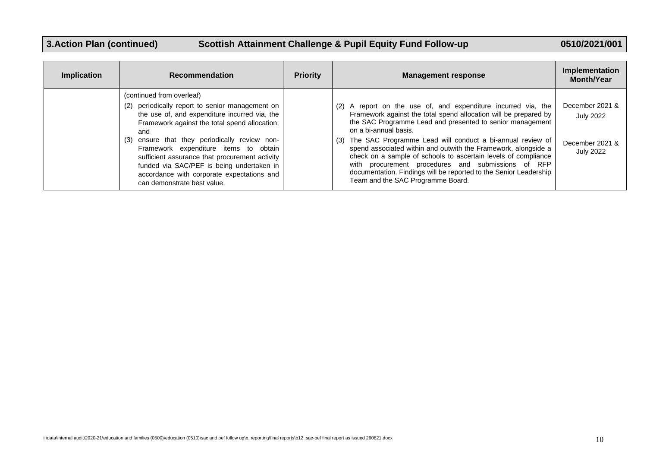# **3.Action Plan (continued) Scottish Attainment Challenge & Pupil Equity Fund Follow-up 0510/2021/001**

| <b>Implication</b> | <b>Recommendation</b>                                                                                                                                                                                                                                                                                                                                                                                                                                             | <b>Priority</b> | <b>Management response</b>                                                                                                                                                                                                                                                                                                                                                                                                                                                                                                                                                                   | Implementation<br><b>Month/Year</b>                                        |
|--------------------|-------------------------------------------------------------------------------------------------------------------------------------------------------------------------------------------------------------------------------------------------------------------------------------------------------------------------------------------------------------------------------------------------------------------------------------------------------------------|-----------------|----------------------------------------------------------------------------------------------------------------------------------------------------------------------------------------------------------------------------------------------------------------------------------------------------------------------------------------------------------------------------------------------------------------------------------------------------------------------------------------------------------------------------------------------------------------------------------------------|----------------------------------------------------------------------------|
|                    | (continued from overleaf)<br>periodically report to senior management on<br>(2)<br>the use of, and expenditure incurred via, the<br>Framework against the total spend allocation;<br>and<br>ensure that they periodically review non-<br>(3)<br>Framework expenditure items to obtain<br>sufficient assurance that procurement activity<br>funded via SAC/PEF is being undertaken in<br>accordance with corporate expectations and<br>can demonstrate best value. |                 | (2) A report on the use of, and expenditure incurred via, the<br>Framework against the total spend allocation will be prepared by<br>the SAC Programme Lead and presented to senior management<br>on a bi-annual basis.<br>(3) The SAC Programme Lead will conduct a bi-annual review of<br>spend associated within and outwith the Framework, alongside a<br>check on a sample of schools to ascertain levels of compliance<br>with procurement procedures and submissions of RFP<br>documentation. Findings will be reported to the Senior Leadership<br>Team and the SAC Programme Board. | December 2021 &<br><b>July 2022</b><br>December 2021 &<br><b>July 2022</b> |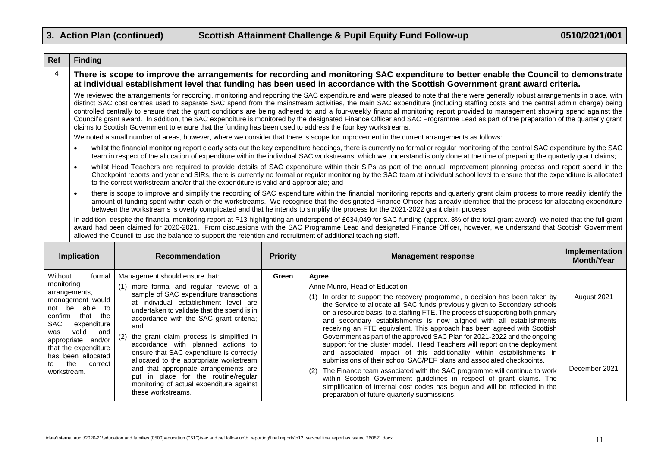|                | <b>Finding</b>                                                                                                                                                                                                                                                                                                                                                                                                                                                                                                                                                                                                                                                                                                                                                                                                                                  |                                                                                     |                 |                                                                                                                                                                                                                                                                                                                                                                                                                                                                                                   |                                     |
|----------------|-------------------------------------------------------------------------------------------------------------------------------------------------------------------------------------------------------------------------------------------------------------------------------------------------------------------------------------------------------------------------------------------------------------------------------------------------------------------------------------------------------------------------------------------------------------------------------------------------------------------------------------------------------------------------------------------------------------------------------------------------------------------------------------------------------------------------------------------------|-------------------------------------------------------------------------------------|-----------------|---------------------------------------------------------------------------------------------------------------------------------------------------------------------------------------------------------------------------------------------------------------------------------------------------------------------------------------------------------------------------------------------------------------------------------------------------------------------------------------------------|-------------------------------------|
| $\overline{4}$ |                                                                                                                                                                                                                                                                                                                                                                                                                                                                                                                                                                                                                                                                                                                                                                                                                                                 |                                                                                     |                 | There is scope to improve the arrangements for recording and monitoring SAC expenditure to better enable the Council to demonstrate<br>at individual establishment level that funding has been used in accordance with the Scottish Government grant award criteria.                                                                                                                                                                                                                              |                                     |
|                | We reviewed the arrangements for recording, monitoring and reporting the SAC expenditure and were pleased to note that there were generally robust arrangements in place, with<br>distinct SAC cost centres used to separate SAC spend from the mainstream activities, the main SAC expenditure (including staffing costs and the central admin charge) being<br>controlled centrally to ensure that the grant conditions are being adhered to and a four-weekly financial monitoring report provided to management showing spend against the<br>Council's grant award. In addition, the SAC expenditure is monitored by the designated Finance Officer and SAC Programme Lead as part of the preparation of the quarterly grant<br>claims to Scottish Government to ensure that the funding has been used to address the four key workstreams. |                                                                                     |                 |                                                                                                                                                                                                                                                                                                                                                                                                                                                                                                   |                                     |
|                |                                                                                                                                                                                                                                                                                                                                                                                                                                                                                                                                                                                                                                                                                                                                                                                                                                                 |                                                                                     |                 | We noted a small number of areas, however, where we consider that there is scope for improvement in the current arrangements as follows:                                                                                                                                                                                                                                                                                                                                                          |                                     |
|                | $\bullet$                                                                                                                                                                                                                                                                                                                                                                                                                                                                                                                                                                                                                                                                                                                                                                                                                                       |                                                                                     |                 | whilst the financial monitoring report clearly sets out the key expenditure headings, there is currently no formal or regular monitoring of the central SAC expenditure by the SAC<br>team in respect of the allocation of expenditure within the individual SAC workstreams, which we understand is only done at the time of preparing the quarterly grant claims;                                                                                                                               |                                     |
|                | $\bullet$                                                                                                                                                                                                                                                                                                                                                                                                                                                                                                                                                                                                                                                                                                                                                                                                                                       | to the correct workstream and/or that the expenditure is valid and appropriate; and |                 | whilst Head Teachers are required to provide details of SAC expenditure within their SIPs as part of the annual improvement planning process and report spend in the<br>Checkpoint reports and year end SIRs, there is currently no formal or regular monitoring by the SAC team at individual school level to ensure that the expenditure is allocated                                                                                                                                           |                                     |
|                | $\bullet$                                                                                                                                                                                                                                                                                                                                                                                                                                                                                                                                                                                                                                                                                                                                                                                                                                       |                                                                                     |                 | there is scope to improve and simplify the recording of SAC expenditure within the financial monitoring reports and quarterly grant claim process to more readily identify the<br>amount of funding spent within each of the workstreams. We recognise that the designated Finance Officer has already identified that the process for allocating expenditure<br>between the workstreams is overly complicated and that he intends to simplify the process for the 2021-2022 grant claim process. |                                     |
|                | In addition, despite the financial monitoring report at P13 highlighting an underspend of £634,049 for SAC funding (approx. 8% of the total grant award), we noted that the full grant<br>award had been claimed for 2020-2021. From discussions with the SAC Programme Lead and designated Finance Officer, however, we understand that Scottish Government<br>allowed the Council to use the balance to support the retention and recruitment of additional teaching staff.                                                                                                                                                                                                                                                                                                                                                                   |                                                                                     |                 |                                                                                                                                                                                                                                                                                                                                                                                                                                                                                                   |                                     |
|                |                                                                                                                                                                                                                                                                                                                                                                                                                                                                                                                                                                                                                                                                                                                                                                                                                                                 |                                                                                     |                 |                                                                                                                                                                                                                                                                                                                                                                                                                                                                                                   |                                     |
|                | Implication                                                                                                                                                                                                                                                                                                                                                                                                                                                                                                                                                                                                                                                                                                                                                                                                                                     | <b>Recommendation</b>                                                               | <b>Priority</b> | <b>Management response</b>                                                                                                                                                                                                                                                                                                                                                                                                                                                                        | Implementation<br><b>Month/Year</b> |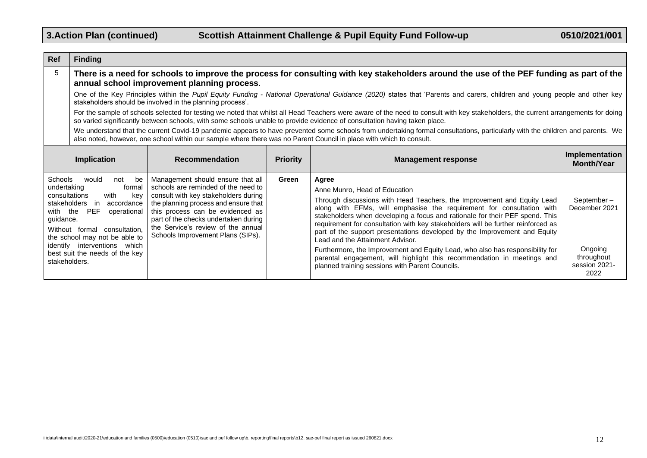Г

| <b>Ref</b>    | <b>Finding</b>                                                                                                                                                                                                                                                                                                                  |                                                                             |                                                                                                                                                                                                                                                                                                                                                                                                                                       |                                                                                                                                                                                                                                                                                                                |                                                |
|---------------|---------------------------------------------------------------------------------------------------------------------------------------------------------------------------------------------------------------------------------------------------------------------------------------------------------------------------------|-----------------------------------------------------------------------------|---------------------------------------------------------------------------------------------------------------------------------------------------------------------------------------------------------------------------------------------------------------------------------------------------------------------------------------------------------------------------------------------------------------------------------------|----------------------------------------------------------------------------------------------------------------------------------------------------------------------------------------------------------------------------------------------------------------------------------------------------------------|------------------------------------------------|
| 5             | There is a need for schools to improve the process for consulting with key stakeholders around the use of the PEF funding as part of the<br>annual school improvement planning process.                                                                                                                                         |                                                                             |                                                                                                                                                                                                                                                                                                                                                                                                                                       |                                                                                                                                                                                                                                                                                                                |                                                |
|               | One of the Key Principles within the Pupil Equity Funding - National Operational Guidance (2020) states that 'Parents and carers, children and young people and other key<br>stakeholders should be involved in the planning process'.                                                                                          |                                                                             |                                                                                                                                                                                                                                                                                                                                                                                                                                       |                                                                                                                                                                                                                                                                                                                |                                                |
|               |                                                                                                                                                                                                                                                                                                                                 |                                                                             |                                                                                                                                                                                                                                                                                                                                                                                                                                       | For the sample of schools selected for testing we noted that whilst all Head Teachers were aware of the need to consult with key stakeholders, the current arrangements for doing<br>so varied significantly between schools, with some schools unable to provide evidence of consultation having taken place. |                                                |
|               |                                                                                                                                                                                                                                                                                                                                 |                                                                             |                                                                                                                                                                                                                                                                                                                                                                                                                                       | We understand that the current Covid-19 pandemic appears to have prevented some schools from undertaking formal consultations, particularly with the children and parents. We<br>also noted, however, one school within our sample where there was no Parent Council in place with which to consult.           |                                                |
|               | <b>Implication</b>                                                                                                                                                                                                                                                                                                              | <b>Recommendation</b>                                                       | <b>Priority</b>                                                                                                                                                                                                                                                                                                                                                                                                                       | <b>Management response</b>                                                                                                                                                                                                                                                                                     | Implementation<br><b>Month/Year</b>            |
| Schools       | would<br>not<br>be                                                                                                                                                                                                                                                                                                              | Management should ensure that all                                           | Green                                                                                                                                                                                                                                                                                                                                                                                                                                 | Agree                                                                                                                                                                                                                                                                                                          |                                                |
| undertaking   | formal<br>consultations<br>with<br>kev                                                                                                                                                                                                                                                                                          | schools are reminded of the need to<br>consult with key stakeholders during |                                                                                                                                                                                                                                                                                                                                                                                                                                       | Anne Munro, Head of Education                                                                                                                                                                                                                                                                                  |                                                |
| guidance.     | the planning process and ensure that<br>stakeholders in<br>accordance<br>this process can be evidenced as<br>with the PEF<br>operational<br>part of the checks undertaken during<br>the Service's review of the annual<br>Without formal<br>consultation,<br>Schools Improvement Plans (SIPs).<br>the school may not be able to |                                                                             | Through discussions with Head Teachers, the Improvement and Equity Lead<br>along with EFMs, will emphasise the requirement for consultation with<br>stakeholders when developing a focus and rationale for their PEF spend. This<br>requirement for consultation with key stakeholders will be further reinforced as<br>part of the support presentations developed by the Improvement and Equity<br>Lead and the Attainment Advisor. | September-<br>December 2021                                                                                                                                                                                                                                                                                    |                                                |
| stakeholders. | identify interventions which<br>best suit the needs of the key                                                                                                                                                                                                                                                                  |                                                                             |                                                                                                                                                                                                                                                                                                                                                                                                                                       | Furthermore, the Improvement and Equity Lead, who also has responsibility for<br>parental engagement, will highlight this recommendation in meetings and<br>planned training sessions with Parent Councils.                                                                                                    | Ongoing<br>throughout<br>session 2021-<br>2022 |